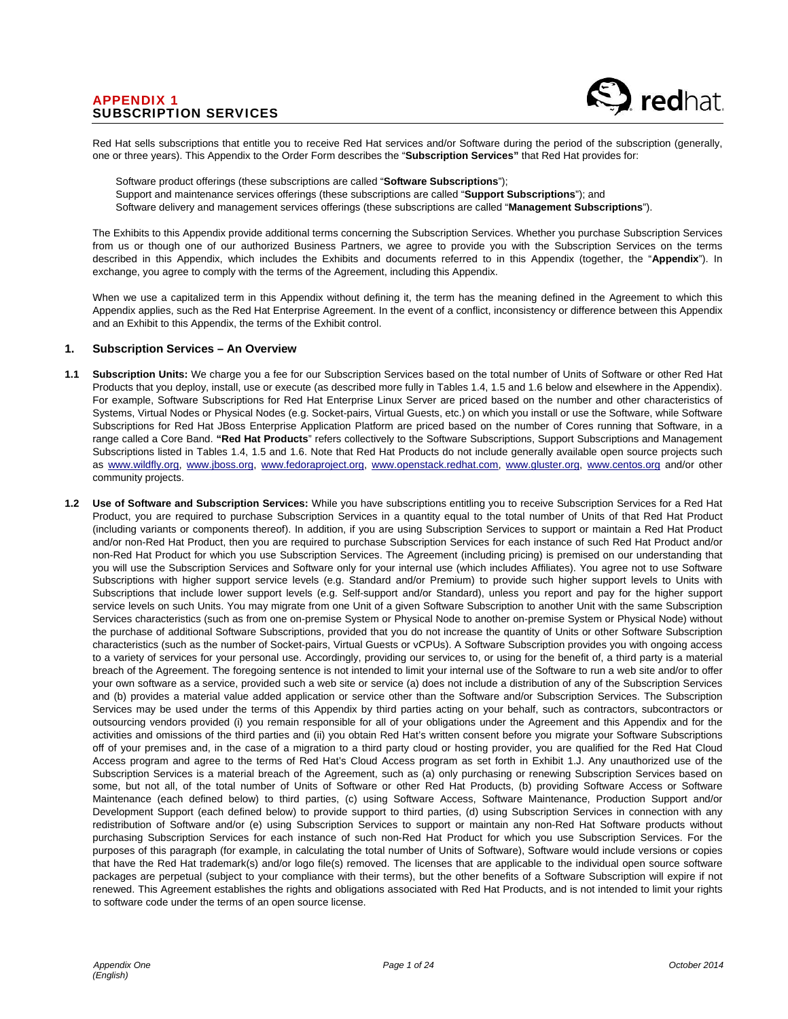

Red Hat sells subscriptions that entitle you to receive Red Hat services and/or Software during the period of the subscription (generally, one or three years). This Appendix to the Order Form describes the "**Subscription Services"** that Red Hat provides for:

Software product offerings (these subscriptions are called "**Software Subscriptions**"); Support and maintenance services offerings (these subscriptions are called "**Support Subscriptions**"); and Software delivery and management services offerings (these subscriptions are called "**Management Subscriptions**").

The Exhibits to this Appendix provide additional terms concerning the Subscription Services. Whether you purchase Subscription Services from us or though one of our authorized Business Partners, we agree to provide you with the Subscription Services on the terms described in this Appendix, which includes the Exhibits and documents referred to in this Appendix (together, the "**Appendix**"). In exchange, you agree to comply with the terms of the Agreement, including this Appendix.

When we use a capitalized term in this Appendix without defining it, the term has the meaning defined in the Agreement to which this Appendix applies, such as the Red Hat Enterprise Agreement. In the event of a conflict, inconsistency or difference between this Appendix and an Exhibit to this Appendix, the terms of the Exhibit control.

#### **1. Subscription Services – An Overview**

- **1.1 Subscription Units:** We charge you a fee for our Subscription Services based on the total number of Units of Software or other Red Hat Products that you deploy, install, use or execute (as described more fully in Tables 1.4, 1.5 and 1.6 below and elsewhere in the Appendix). For example, Software Subscriptions for Red Hat Enterprise Linux Server are priced based on the number and other characteristics of Systems, Virtual Nodes or Physical Nodes (e.g. Socket-pairs, Virtual Guests, etc.) on which you install or use the Software, while Software Subscriptions for Red Hat JBoss Enterprise Application Platform are priced based on the number of Cores running that Software, in a range called a Core Band. **"Red Hat Products**" refers collectively to the Software Subscriptions, Support Subscriptions and Management Subscriptions listed in Tables 1.4, 1.5 and 1.6. Note that Red Hat Products do not include generally available open source projects such as www.wildfly.org, www.jboss.org, www.fedoraproject.org, www.openstack.redhat.com, www.gluster.org, www.centos.org and/or other community projects.
- **1.2 Use of Software and Subscription Services:** While you have subscriptions entitling you to receive Subscription Services for a Red Hat Product, you are required to purchase Subscription Services in a quantity equal to the total number of Units of that Red Hat Product (including variants or components thereof). In addition, if you are using Subscription Services to support or maintain a Red Hat Product and/or non-Red Hat Product, then you are required to purchase Subscription Services for each instance of such Red Hat Product and/or non-Red Hat Product for which you use Subscription Services. The Agreement (including pricing) is premised on our understanding that you will use the Subscription Services and Software only for your internal use (which includes Affiliates). You agree not to use Software Subscriptions with higher support service levels (e.g. Standard and/or Premium) to provide such higher support levels to Units with Subscriptions that include lower support levels (e.g. Self-support and/or Standard), unless you report and pay for the higher support service levels on such Units. You may migrate from one Unit of a given Software Subscription to another Unit with the same Subscription Services characteristics (such as from one on-premise System or Physical Node to another on-premise System or Physical Node) without the purchase of additional Software Subscriptions, provided that you do not increase the quantity of Units or other Software Subscription characteristics (such as the number of Socket-pairs, Virtual Guests or vCPUs). A Software Subscription provides you with ongoing access to a variety of services for your personal use. Accordingly, providing our services to, or using for the benefit of, a third party is a material breach of the Agreement. The foregoing sentence is not intended to limit your internal use of the Software to run a web site and/or to offer your own software as a service, provided such a web site or service (a) does not include a distribution of any of the Subscription Services and (b) provides a material value added application or service other than the Software and/or Subscription Services. The Subscription Services may be used under the terms of this Appendix by third parties acting on your behalf, such as contractors, subcontractors or outsourcing vendors provided (i) you remain responsible for all of your obligations under the Agreement and this Appendix and for the activities and omissions of the third parties and (ii) you obtain Red Hat's written consent before you migrate your Software Subscriptions off of your premises and, in the case of a migration to a third party cloud or hosting provider, you are qualified for the Red Hat Cloud Access program and agree to the terms of Red Hat's Cloud Access program as set forth in Exhibit 1.J. Any unauthorized use of the Subscription Services is a material breach of the Agreement, such as (a) only purchasing or renewing Subscription Services based on some, but not all, of the total number of Units of Software or other Red Hat Products, (b) providing Software Access or Software Maintenance (each defined below) to third parties, (c) using Software Access, Software Maintenance, Production Support and/or Development Support (each defined below) to provide support to third parties, (d) using Subscription Services in connection with any redistribution of Software and/or (e) using Subscription Services to support or maintain any non-Red Hat Software products without purchasing Subscription Services for each instance of such non-Red Hat Product for which you use Subscription Services. For the purposes of this paragraph (for example, in calculating the total number of Units of Software), Software would include versions or copies that have the Red Hat trademark(s) and/or logo file(s) removed. The licenses that are applicable to the individual open source software packages are perpetual (subject to your compliance with their terms), but the other benefits of a Software Subscription will expire if not renewed. This Agreement establishes the rights and obligations associated with Red Hat Products, and is not intended to limit your rights to software code under the terms of an open source license.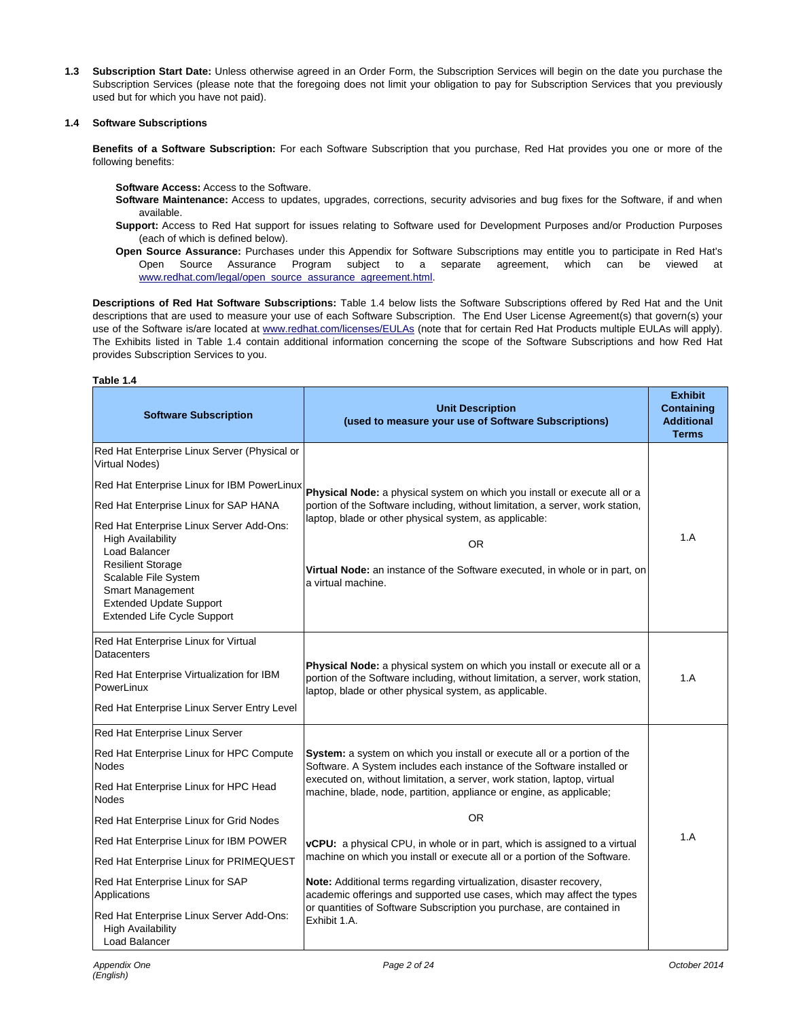**1.3 Subscription Start Date:** Unless otherwise agreed in an Order Form, the Subscription Services will begin on the date you purchase the Subscription Services (please note that the foregoing does not limit your obligation to pay for Subscription Services that you previously used but for which you have not paid).

#### **1.4 Software Subscriptions**

**Benefits of a Software Subscription:** For each Software Subscription that you purchase, Red Hat provides you one or more of the following benefits:

**Software Access:** Access to the Software.

- **Software Maintenance:** Access to updates, upgrades, corrections, security advisories and bug fixes for the Software, if and when available.
- **Support:** Access to Red Hat support for issues relating to Software used for Development Purposes and/or Production Purposes (each of which is defined below).
- **Open Source Assurance:** Purchases under this Appendix for Software Subscriptions may entitle you to participate in Red Hat's Open Source Assurance Program subject to a separate agreement, which can be viewed at www.redhat.com/legal/open\_source\_assurance\_agreement.html.

**Descriptions of Red Hat Software Subscriptions:** Table 1.4 below lists the Software Subscriptions offered by Red Hat and the Unit descriptions that are used to measure your use of each Software Subscription. The End User License Agreement(s) that govern(s) your use of the Software is/are located at www.redhat.com/licenses/EULAs (note that for certain Red Hat Products multiple EULAs will apply). The Exhibits listed in Table 1.4 contain additional information concerning the scope of the Software Subscriptions and how Red Hat provides Subscription Services to you.

#### **Table 1.4**

| <b>Software Subscription</b>                                                                                                                                                                                                                                                                                                                                                                                               | <b>Unit Description</b><br>(used to measure your use of Software Subscriptions)                                                                                                                                                                                                                                                                                                                                                                                                                                                                                                                                                                                                                                         | <b>Exhibit</b><br><b>Containing</b><br><b>Additional</b><br><b>Terms</b> |
|----------------------------------------------------------------------------------------------------------------------------------------------------------------------------------------------------------------------------------------------------------------------------------------------------------------------------------------------------------------------------------------------------------------------------|-------------------------------------------------------------------------------------------------------------------------------------------------------------------------------------------------------------------------------------------------------------------------------------------------------------------------------------------------------------------------------------------------------------------------------------------------------------------------------------------------------------------------------------------------------------------------------------------------------------------------------------------------------------------------------------------------------------------------|--------------------------------------------------------------------------|
| Red Hat Enterprise Linux Server (Physical or<br>Virtual Nodes)<br>Red Hat Enterprise Linux for IBM PowerLinux<br>Red Hat Enterprise Linux for SAP HANA<br>Red Hat Enterprise Linux Server Add-Ons:<br><b>High Availability</b><br>Load Balancer<br><b>Resilient Storage</b><br>Scalable File System<br><b>Smart Management</b><br><b>Extended Update Support</b><br><b>Extended Life Cycle Support</b>                     | Physical Node: a physical system on which you install or execute all or a<br>portion of the Software including, without limitation, a server, work station,<br>laptop, blade or other physical system, as applicable:<br><b>OR</b><br>Virtual Node: an instance of the Software executed, in whole or in part, on<br>a virtual machine.                                                                                                                                                                                                                                                                                                                                                                                 | 1.A                                                                      |
| Red Hat Enterprise Linux for Virtual<br>Datacenters<br>Red Hat Enterprise Virtualization for IBM<br>PowerLinux<br>Red Hat Enterprise Linux Server Entry Level                                                                                                                                                                                                                                                              | Physical Node: a physical system on which you install or execute all or a<br>portion of the Software including, without limitation, a server, work station,<br>laptop, blade or other physical system, as applicable.                                                                                                                                                                                                                                                                                                                                                                                                                                                                                                   | 1.A                                                                      |
| Red Hat Enterprise Linux Server<br>Red Hat Enterprise Linux for HPC Compute<br><b>Nodes</b><br>Red Hat Enterprise Linux for HPC Head<br>Nodes<br>Red Hat Enterprise Linux for Grid Nodes<br>Red Hat Enterprise Linux for IBM POWER<br>Red Hat Enterprise Linux for PRIMEQUEST<br>Red Hat Enterprise Linux for SAP<br>Applications<br>Red Hat Enterprise Linux Server Add-Ons:<br><b>High Availability</b><br>Load Balancer | System: a system on which you install or execute all or a portion of the<br>Software. A System includes each instance of the Software installed or<br>executed on, without limitation, a server, work station, laptop, virtual<br>machine, blade, node, partition, appliance or engine, as applicable;<br><b>OR</b><br>vCPU: a physical CPU, in whole or in part, which is assigned to a virtual<br>machine on which you install or execute all or a portion of the Software.<br>Note: Additional terms regarding virtualization, disaster recovery,<br>academic offerings and supported use cases, which may affect the types<br>or quantities of Software Subscription you purchase, are contained in<br>Exhibit 1.A. | 1.A                                                                      |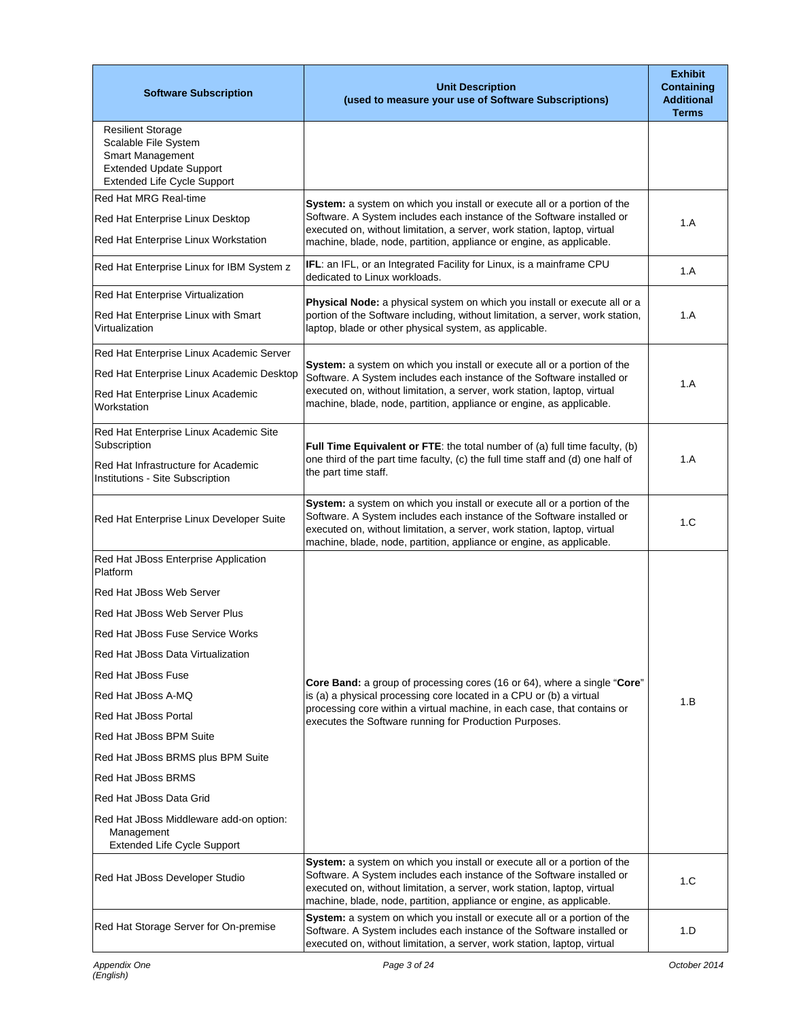| <b>Software Subscription</b>                                                                                                                 | <b>Unit Description</b><br>(used to measure your use of Software Subscriptions)                                                                                                                                                                                                                        | <b>Exhibit</b><br><b>Containing</b><br><b>Additional</b><br><b>Terms</b> |
|----------------------------------------------------------------------------------------------------------------------------------------------|--------------------------------------------------------------------------------------------------------------------------------------------------------------------------------------------------------------------------------------------------------------------------------------------------------|--------------------------------------------------------------------------|
| <b>Resilient Storage</b><br>Scalable File System<br><b>Smart Management</b><br><b>Extended Update Support</b><br>Extended Life Cycle Support |                                                                                                                                                                                                                                                                                                        |                                                                          |
| Red Hat MRG Real-time                                                                                                                        | System: a system on which you install or execute all or a portion of the                                                                                                                                                                                                                               |                                                                          |
| Red Hat Enterprise Linux Desktop<br>Red Hat Enterprise Linux Workstation                                                                     | Software. A System includes each instance of the Software installed or<br>executed on, without limitation, a server, work station, laptop, virtual<br>machine, blade, node, partition, appliance or engine, as applicable.                                                                             | 1.A                                                                      |
| Red Hat Enterprise Linux for IBM System z                                                                                                    | IFL: an IFL, or an Integrated Facility for Linux, is a mainframe CPU<br>dedicated to Linux workloads.                                                                                                                                                                                                  | 1.A                                                                      |
| Red Hat Enterprise Virtualization                                                                                                            |                                                                                                                                                                                                                                                                                                        |                                                                          |
| Red Hat Enterprise Linux with Smart<br>Virtualization                                                                                        | Physical Node: a physical system on which you install or execute all or a<br>portion of the Software including, without limitation, a server, work station,<br>laptop, blade or other physical system, as applicable.                                                                                  | 1.A                                                                      |
| Red Hat Enterprise Linux Academic Server                                                                                                     |                                                                                                                                                                                                                                                                                                        |                                                                          |
| Red Hat Enterprise Linux Academic Desktop                                                                                                    | System: a system on which you install or execute all or a portion of the<br>Software. A System includes each instance of the Software installed or                                                                                                                                                     | 1.A                                                                      |
| Red Hat Enterprise Linux Academic<br>Workstation                                                                                             | executed on, without limitation, a server, work station, laptop, virtual<br>machine, blade, node, partition, appliance or engine, as applicable.                                                                                                                                                       |                                                                          |
| Red Hat Enterprise Linux Academic Site<br>Subscription                                                                                       | Full Time Equivalent or FTE: the total number of (a) full time faculty, (b)                                                                                                                                                                                                                            |                                                                          |
| Red Hat Infrastructure for Academic<br>Institutions - Site Subscription                                                                      | one third of the part time faculty, (c) the full time staff and (d) one half of<br>the part time staff.                                                                                                                                                                                                | 1.A                                                                      |
| Red Hat Enterprise Linux Developer Suite                                                                                                     | System: a system on which you install or execute all or a portion of the<br>Software. A System includes each instance of the Software installed or<br>executed on, without limitation, a server, work station, laptop, virtual<br>machine, blade, node, partition, appliance or engine, as applicable. | 1.C                                                                      |
| Red Hat JBoss Enterprise Application<br>Platform                                                                                             |                                                                                                                                                                                                                                                                                                        |                                                                          |
| Red Hat JBoss Web Server                                                                                                                     |                                                                                                                                                                                                                                                                                                        |                                                                          |
| Red Hat JBoss Web Server Plus                                                                                                                |                                                                                                                                                                                                                                                                                                        |                                                                          |
| Red Hat JBoss Fuse Service Works                                                                                                             |                                                                                                                                                                                                                                                                                                        |                                                                          |
| Red Hat JBoss Data Virtualization                                                                                                            |                                                                                                                                                                                                                                                                                                        |                                                                          |
| <b>Red Hat JBoss Fuse</b>                                                                                                                    | <b>Core Band:</b> a group of processing cores (16 or 64), where a single "Core"                                                                                                                                                                                                                        |                                                                          |
| Red Hat JBoss A-MQ                                                                                                                           | is (a) a physical processing core located in a CPU or (b) a virtual                                                                                                                                                                                                                                    | 1.B                                                                      |
| <b>Red Hat JBoss Portal</b>                                                                                                                  | processing core within a virtual machine, in each case, that contains or<br>executes the Software running for Production Purposes.                                                                                                                                                                     |                                                                          |
| Red Hat JBoss BPM Suite                                                                                                                      |                                                                                                                                                                                                                                                                                                        |                                                                          |
| Red Hat JBoss BRMS plus BPM Suite                                                                                                            |                                                                                                                                                                                                                                                                                                        |                                                                          |
| Red Hat JBoss BRMS                                                                                                                           |                                                                                                                                                                                                                                                                                                        |                                                                          |
| Red Hat JBoss Data Grid                                                                                                                      |                                                                                                                                                                                                                                                                                                        |                                                                          |
| Red Hat JBoss Middleware add-on option:<br>Management<br>Extended Life Cycle Support                                                         |                                                                                                                                                                                                                                                                                                        |                                                                          |
| Red Hat JBoss Developer Studio                                                                                                               | System: a system on which you install or execute all or a portion of the<br>Software. A System includes each instance of the Software installed or<br>executed on, without limitation, a server, work station, laptop, virtual<br>machine, blade, node, partition, appliance or engine, as applicable. | 1.C                                                                      |
| Red Hat Storage Server for On-premise                                                                                                        | System: a system on which you install or execute all or a portion of the<br>Software. A System includes each instance of the Software installed or<br>executed on, without limitation, a server, work station, laptop, virtual                                                                         | 1.D                                                                      |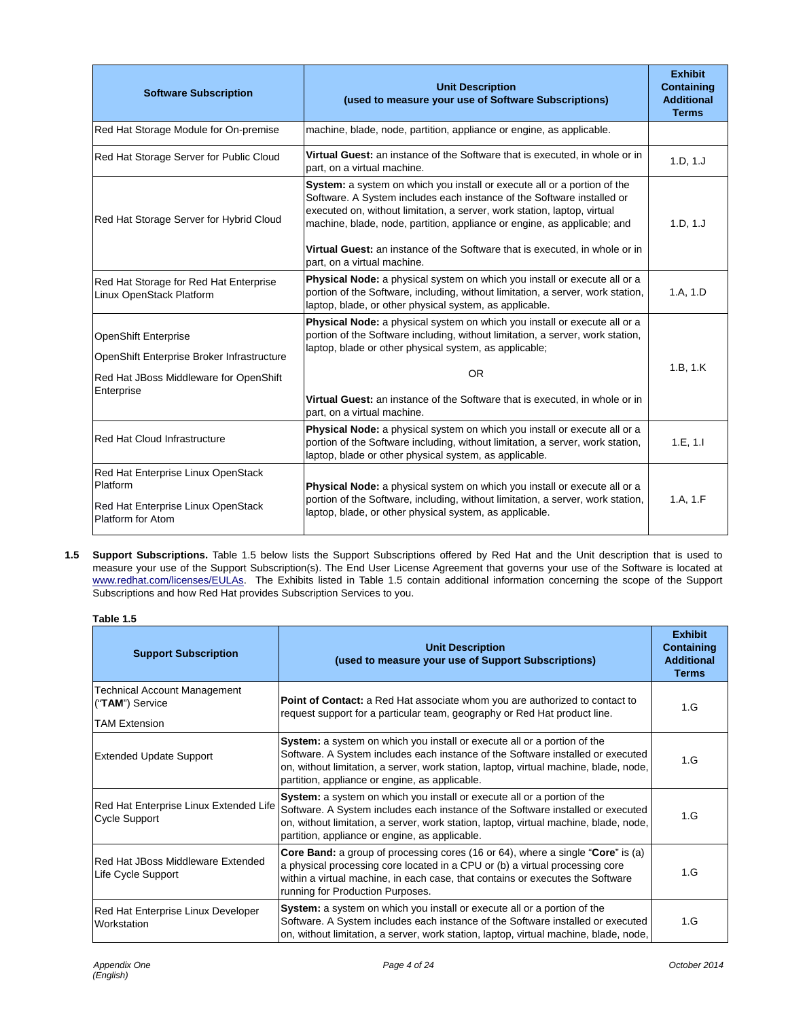| <b>Software Subscription</b>                                                                                                      | <b>Unit Description</b><br>(used to measure your use of Software Subscriptions)                                                                                                                                                                                                                                                                                                                                          | <b>Exhibit</b><br><b>Containing</b><br><b>Additional</b><br><b>Terms</b> |
|-----------------------------------------------------------------------------------------------------------------------------------|--------------------------------------------------------------------------------------------------------------------------------------------------------------------------------------------------------------------------------------------------------------------------------------------------------------------------------------------------------------------------------------------------------------------------|--------------------------------------------------------------------------|
| Red Hat Storage Module for On-premise                                                                                             | machine, blade, node, partition, appliance or engine, as applicable.                                                                                                                                                                                                                                                                                                                                                     |                                                                          |
| Red Hat Storage Server for Public Cloud                                                                                           | Virtual Guest: an instance of the Software that is executed, in whole or in<br>part, on a virtual machine.                                                                                                                                                                                                                                                                                                               | 1.D, 1.J                                                                 |
| Red Hat Storage Server for Hybrid Cloud                                                                                           | System: a system on which you install or execute all or a portion of the<br>Software. A System includes each instance of the Software installed or<br>executed on, without limitation, a server, work station, laptop, virtual<br>machine, blade, node, partition, appliance or engine, as applicable; and<br>Virtual Guest: an instance of the Software that is executed, in whole or in<br>part, on a virtual machine. |                                                                          |
| Red Hat Storage for Red Hat Enterprise<br>Linux OpenStack Platform                                                                | Physical Node: a physical system on which you install or execute all or a<br>portion of the Software, including, without limitation, a server, work station,<br>laptop, blade, or other physical system, as applicable.                                                                                                                                                                                                  | 1.A, 1.D                                                                 |
| <b>OpenShift Enterprise</b><br>OpenShift Enterprise Broker Infrastructure<br>Red Hat JBoss Middleware for OpenShift<br>Enterprise | Physical Node: a physical system on which you install or execute all or a<br>portion of the Software including, without limitation, a server, work station,<br>laptop, blade or other physical system, as applicable;<br><b>OR</b><br>Virtual Guest: an instance of the Software that is executed, in whole or in<br>part, on a virtual machine.                                                                         | 1.B. 1.K                                                                 |
| Red Hat Cloud Infrastructure                                                                                                      | Physical Node: a physical system on which you install or execute all or a<br>portion of the Software including, without limitation, a server, work station,<br>laptop, blade or other physical system, as applicable.                                                                                                                                                                                                    | 1.E, 1.I                                                                 |
| Red Hat Enterprise Linux OpenStack<br>Platform<br>Red Hat Enterprise Linux OpenStack<br>Platform for Atom                         | Physical Node: a physical system on which you install or execute all or a<br>portion of the Software, including, without limitation, a server, work station,<br>laptop, blade, or other physical system, as applicable.                                                                                                                                                                                                  | 1.A, 1.F                                                                 |

**1.5 Support Subscriptions.** Table 1.5 below lists the Support Subscriptions offered by Red Hat and the Unit description that is used to measure your use of the Support Subscription(s). The End User License Agreement that governs your use of the Software is located at www.redhat.com/licenses/EULAs. The Exhibits listed in Table 1.5 contain additional information concerning the scope of the Support Subscriptions and how Red Hat provides Subscription Services to you.

| able<br>п |
|-----------|
|-----------|

| <b>Support Subscription</b>                                                                                                                                                                                                                                                                                                                                              | <b>Unit Description</b><br>(used to measure your use of Support Subscriptions)                                                                                                                                                                                                                         | <b>Exhibit</b><br><b>Containing</b><br><b>Additional</b><br><b>Terms</b> |
|--------------------------------------------------------------------------------------------------------------------------------------------------------------------------------------------------------------------------------------------------------------------------------------------------------------------------------------------------------------------------|--------------------------------------------------------------------------------------------------------------------------------------------------------------------------------------------------------------------------------------------------------------------------------------------------------|--------------------------------------------------------------------------|
| Technical Account Management<br>("TAM") Service<br><b>TAM Extension</b>                                                                                                                                                                                                                                                                                                  | <b>Point of Contact:</b> a Red Hat associate whom you are authorized to contact to<br>request support for a particular team, geography or Red Hat product line.                                                                                                                                        | 1.G                                                                      |
| <b>Extended Update Support</b>                                                                                                                                                                                                                                                                                                                                           | System: a system on which you install or execute all or a portion of the<br>Software. A System includes each instance of the Software installed or executed<br>on, without limitation, a server, work station, laptop, virtual machine, blade, node,<br>partition, appliance or engine, as applicable. |                                                                          |
| System: a system on which you install or execute all or a portion of the<br>Red Hat Enterprise Linux Extended Life<br>Software. A System includes each instance of the Software installed or executed<br><b>Cycle Support</b><br>on, without limitation, a server, work station, laptop, virtual machine, blade, node,<br>partition, appliance or engine, as applicable. |                                                                                                                                                                                                                                                                                                        | 1.G                                                                      |
| <b>Core Band:</b> a group of processing cores (16 or 64), where a single " <b>Core</b> " is (a)<br>Red Hat JBoss Middleware Extended<br>a physical processing core located in a CPU or (b) a virtual processing core<br>Life Cycle Support<br>within a virtual machine, in each case, that contains or executes the Software<br>running for Production Purposes.         |                                                                                                                                                                                                                                                                                                        | 1.G                                                                      |
| System: a system on which you install or execute all or a portion of the<br>Red Hat Enterprise Linux Developer<br>Software. A System includes each instance of the Software installed or executed<br>Workstation<br>on, without limitation, a server, work station, laptop, virtual machine, blade, node,                                                                |                                                                                                                                                                                                                                                                                                        | 1.G                                                                      |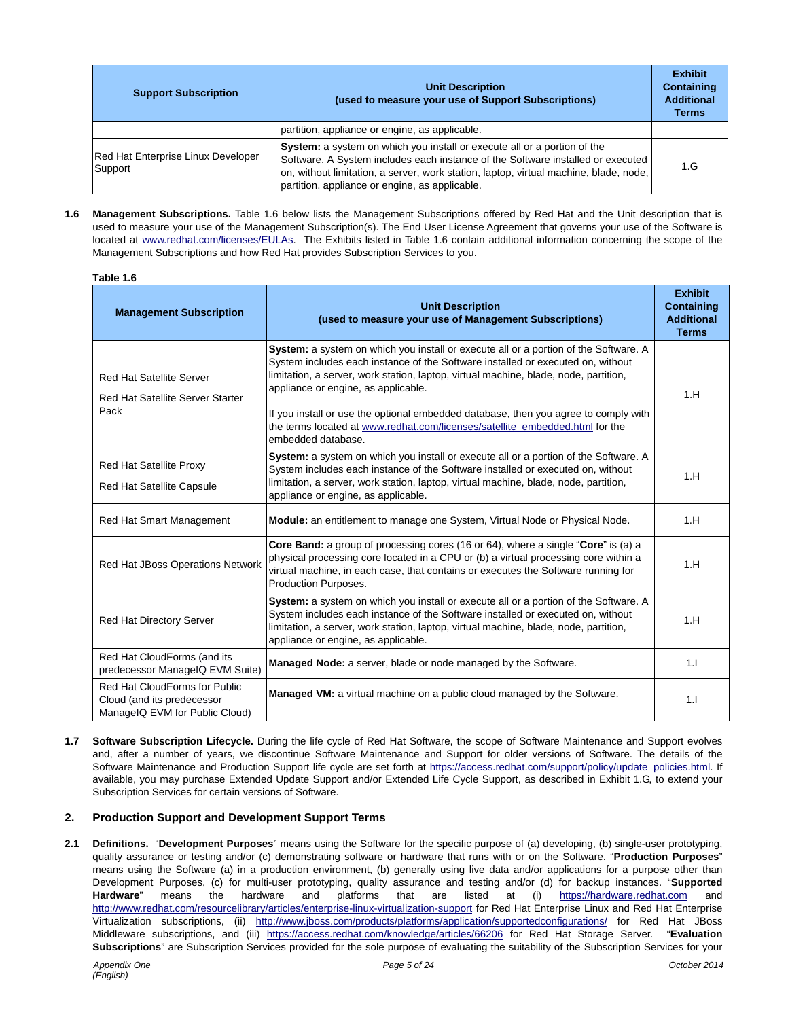| <b>Support Subscription</b>                   | <b>Unit Description</b><br>(used to measure your use of Support Subscriptions)                                                                                                                                                                                                                                | <b>Exhibit</b><br><b>Containing</b><br><b>Additional</b><br><b>Terms</b> |
|-----------------------------------------------|---------------------------------------------------------------------------------------------------------------------------------------------------------------------------------------------------------------------------------------------------------------------------------------------------------------|--------------------------------------------------------------------------|
|                                               | partition, appliance or engine, as applicable.                                                                                                                                                                                                                                                                |                                                                          |
| Red Hat Enterprise Linux Developer<br>Support | <b>System:</b> a system on which you install or execute all or a portion of the<br>Software. A System includes each instance of the Software installed or executed<br>on, without limitation, a server, work station, laptop, virtual machine, blade, node,<br>partition, appliance or engine, as applicable. | 1.G                                                                      |

**1.6 Management Subscriptions.** Table 1.6 below lists the Management Subscriptions offered by Red Hat and the Unit description that is used to measure your use of the Management Subscription(s). The End User License Agreement that governs your use of the Software is located at www.redhat.com/licenses/EULAs. The Exhibits listed in Table 1.6 contain additional information concerning the scope of the Management Subscriptions and how Red Hat provides Subscription Services to you.

| Table 1.6                                                                                     |                                                                                                                                                                                                                                                                                                                                                                                                                                                                                                     |                                                                          |
|-----------------------------------------------------------------------------------------------|-----------------------------------------------------------------------------------------------------------------------------------------------------------------------------------------------------------------------------------------------------------------------------------------------------------------------------------------------------------------------------------------------------------------------------------------------------------------------------------------------------|--------------------------------------------------------------------------|
| <b>Management Subscription</b>                                                                | <b>Unit Description</b><br>(used to measure your use of Management Subscriptions)                                                                                                                                                                                                                                                                                                                                                                                                                   | <b>Exhibit</b><br><b>Containing</b><br><b>Additional</b><br><b>Terms</b> |
| <b>Red Hat Satellite Server</b><br><b>Red Hat Satellite Server Starter</b><br>Pack            | System: a system on which you install or execute all or a portion of the Software. A<br>System includes each instance of the Software installed or executed on, without<br>limitation, a server, work station, laptop, virtual machine, blade, node, partition,<br>appliance or engine, as applicable.<br>If you install or use the optional embedded database, then you agree to comply with<br>the terms located at www.redhat.com/licenses/satellite embedded.html for the<br>embedded database. |                                                                          |
| Red Hat Satellite Proxy<br><b>Red Hat Satellite Capsule</b>                                   | System: a system on which you install or execute all or a portion of the Software. A<br>System includes each instance of the Software installed or executed on, without<br>limitation, a server, work station, laptop, virtual machine, blade, node, partition,<br>appliance or engine, as applicable.                                                                                                                                                                                              |                                                                          |
| Red Hat Smart Management                                                                      | Module: an entitlement to manage one System, Virtual Node or Physical Node.                                                                                                                                                                                                                                                                                                                                                                                                                         | 1.H                                                                      |
| Red Hat JBoss Operations Network                                                              | <b>Core Band:</b> a group of processing cores (16 or 64), where a single " <b>Core</b> " is (a) a<br>physical processing core located in a CPU or (b) a virtual processing core within a<br>virtual machine, in each case, that contains or executes the Software running for<br>Production Purposes.                                                                                                                                                                                               | 1.H                                                                      |
| Red Hat Directory Server                                                                      | System: a system on which you install or execute all or a portion of the Software. A<br>System includes each instance of the Software installed or executed on, without<br>limitation, a server, work station, laptop, virtual machine, blade, node, partition,<br>appliance or engine, as applicable.                                                                                                                                                                                              | 1.H                                                                      |
| Red Hat CloudForms (and its<br>predecessor ManageIQ EVM Suite)                                | Managed Node: a server, blade or node managed by the Software.                                                                                                                                                                                                                                                                                                                                                                                                                                      | 1.1                                                                      |
| Red Hat CloudForms for Public<br>Cloud (and its predecessor<br>ManageIQ EVM for Public Cloud) | <b>Managed VM:</b> a virtual machine on a public cloud managed by the Software.                                                                                                                                                                                                                                                                                                                                                                                                                     | 1.1                                                                      |

**1.7 Software Subscription Lifecycle.** During the life cycle of Red Hat Software, the scope of Software Maintenance and Support evolves and, after a number of years, we discontinue Software Maintenance and Support for older versions of Software. The details of the Software Maintenance and Production Support life cycle are set forth at https://access.redhat.com/support/policy/update\_policies.html. If available, you may purchase Extended Update Support and/or Extended Life Cycle Support, as described in Exhibit 1.G, to extend your Subscription Services for certain versions of Software.

## **2. Production Support and Development Support Terms**

**2.1 Definitions.** "**Development Purposes**" means using the Software for the specific purpose of (a) developing, (b) single-user prototyping, quality assurance or testing and/or (c) demonstrating software or hardware that runs with or on the Software. "**Production Purposes**" means using the Software (a) in a production environment, (b) generally using live data and/or applications for a purpose other than Development Purposes, (c) for multi-user prototyping, quality assurance and testing and/or (d) for backup instances. "**Supported Hardware**" means the hardware and platforms that are listed at (i) https://hardware.redhat.com and http://www.redhat.com/resourcelibrary/articles/enterprise-linux-virtualization-support for Red Hat Enterprise Linux and Red Hat Enterprise Virtualization subscriptions, (ii) http://www.jboss.com/products/platforms/application/supportedconfigurations/ for Red Hat JBoss Middleware subscriptions, and (iii) https://access.redhat.com/knowledge/articles/66206 for Red Hat Storage Server. "**Evaluation Subscriptions**" are Subscription Services provided for the sole purpose of evaluating the suitability of the Subscription Services for your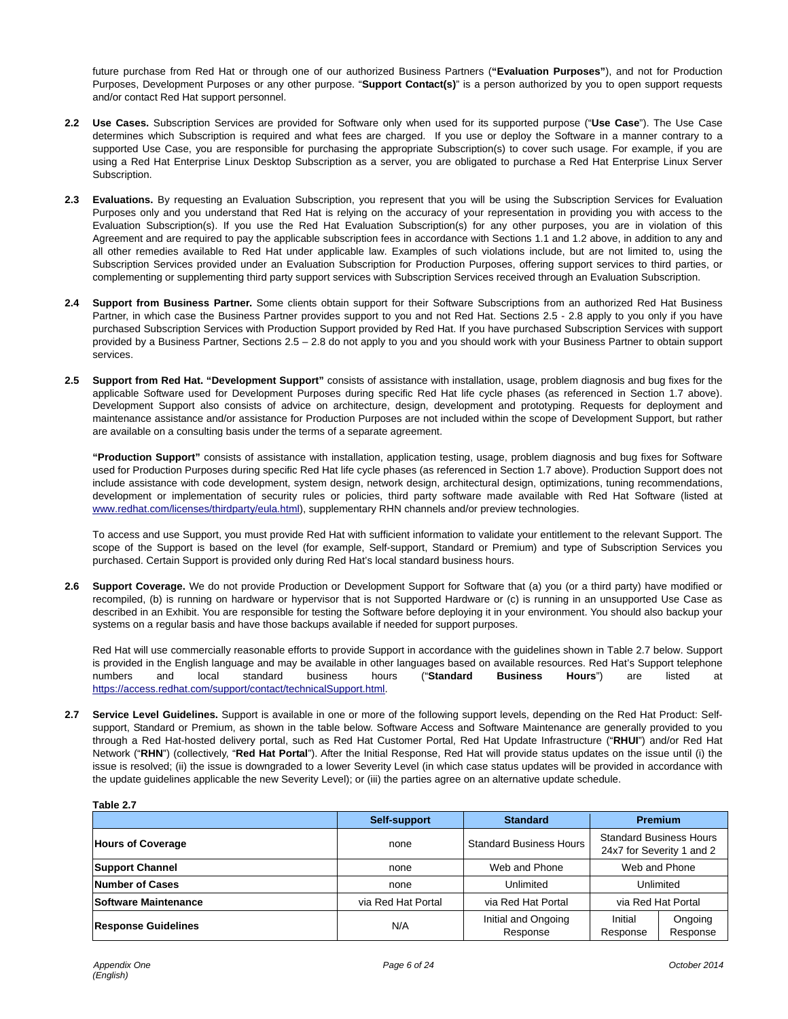future purchase from Red Hat or through one of our authorized Business Partners (**"Evaluation Purposes"**), and not for Production Purposes, Development Purposes or any other purpose. "**Support Contact(s)**" is a person authorized by you to open support requests and/or contact Red Hat support personnel.

- **2.2 Use Cases.** Subscription Services are provided for Software only when used for its supported purpose ("**Use Case**"). The Use Case determines which Subscription is required and what fees are charged. If you use or deploy the Software in a manner contrary to a supported Use Case, you are responsible for purchasing the appropriate Subscription(s) to cover such usage. For example, if you are using a Red Hat Enterprise Linux Desktop Subscription as a server, you are obligated to purchase a Red Hat Enterprise Linux Server Subscription.
- **2.3 Evaluations.** By requesting an Evaluation Subscription, you represent that you will be using the Subscription Services for Evaluation Purposes only and you understand that Red Hat is relying on the accuracy of your representation in providing you with access to the Evaluation Subscription(s). If you use the Red Hat Evaluation Subscription(s) for any other purposes, you are in violation of this Agreement and are required to pay the applicable subscription fees in accordance with Sections 1.1 and 1.2 above, in addition to any and all other remedies available to Red Hat under applicable law. Examples of such violations include, but are not limited to, using the Subscription Services provided under an Evaluation Subscription for Production Purposes, offering support services to third parties, or complementing or supplementing third party support services with Subscription Services received through an Evaluation Subscription.
- **2.4 Support from Business Partner.** Some clients obtain support for their Software Subscriptions from an authorized Red Hat Business Partner, in which case the Business Partner provides support to you and not Red Hat. Sections 2.5 - 2.8 apply to you only if you have purchased Subscription Services with Production Support provided by Red Hat. If you have purchased Subscription Services with support provided by a Business Partner, Sections 2.5 – 2.8 do not apply to you and you should work with your Business Partner to obtain support services.
- **2.5 Support from Red Hat. "Development Support"** consists of assistance with installation, usage, problem diagnosis and bug fixes for the applicable Software used for Development Purposes during specific Red Hat life cycle phases (as referenced in Section 1.7 above). Development Support also consists of advice on architecture, design, development and prototyping. Requests for deployment and maintenance assistance and/or assistance for Production Purposes are not included within the scope of Development Support, but rather are available on a consulting basis under the terms of a separate agreement.

**"Production Support"** consists of assistance with installation, application testing, usage, problem diagnosis and bug fixes for Software used for Production Purposes during specific Red Hat life cycle phases (as referenced in Section 1.7 above). Production Support does not include assistance with code development, system design, network design, architectural design, optimizations, tuning recommendations, development or implementation of security rules or policies, third party software made available with Red Hat Software (listed at www.redhat.com/licenses/thirdparty/eula.html), supplementary RHN channels and/or preview technologies.

To access and use Support, you must provide Red Hat with sufficient information to validate your entitlement to the relevant Support. The scope of the Support is based on the level (for example, Self-support, Standard or Premium) and type of Subscription Services you purchased. Certain Support is provided only during Red Hat's local standard business hours.

**2.6 Support Coverage.** We do not provide Production or Development Support for Software that (a) you (or a third party) have modified or recompiled, (b) is running on hardware or hypervisor that is not Supported Hardware or (c) is running in an unsupported Use Case as described in an Exhibit. You are responsible for testing the Software before deploying it in your environment. You should also backup your systems on a regular basis and have those backups available if needed for support purposes.

Red Hat will use commercially reasonable efforts to provide Support in accordance with the guidelines shown in Table 2.7 below. Support is provided in the English language and may be available in other languages based on available resources. Red Hat's Support telephone numbers and local standard business hours ("**Standard Business Hours**") are listed at https://access.redhat.com/support/contact/technicalSupport.html.

**2.7 Service Level Guidelines.** Support is available in one or more of the following support levels, depending on the Red Hat Product: Selfsupport, Standard or Premium, as shown in the table below. Software Access and Software Maintenance are generally provided to you through a Red Hat-hosted delivery portal, such as Red Hat Customer Portal, Red Hat Update Infrastructure ("**RHUI**") and/or Red Hat Network ("**RHN**") (collectively, "**Red Hat Portal**"). After the Initial Response, Red Hat will provide status updates on the issue until (i) the issue is resolved; (ii) the issue is downgraded to a lower Severity Level (in which case status updates will be provided in accordance with the update guidelines applicable the new Severity Level); or (iii) the parties agree on an alternative update schedule.

| Table 2.7                   |                    |                                 |                     |                                                             |
|-----------------------------|--------------------|---------------------------------|---------------------|-------------------------------------------------------------|
|                             | Self-support       | <b>Standard</b>                 |                     | <b>Premium</b>                                              |
| <b>Hours of Coverage</b>    | none               | <b>Standard Business Hours</b>  |                     | <b>Standard Business Hours</b><br>24x7 for Severity 1 and 2 |
| <b>Support Channel</b>      | none               | Web and Phone                   |                     | Web and Phone                                               |
| Number of Cases             | none               | Unlimited                       | Unlimited           |                                                             |
| <b>Software Maintenance</b> | via Red Hat Portal | via Red Hat Portal              | via Red Hat Portal  |                                                             |
| <b>Response Guidelines</b>  | N/A                | Initial and Ongoing<br>Response | Initial<br>Response | Ongoing<br>Response                                         |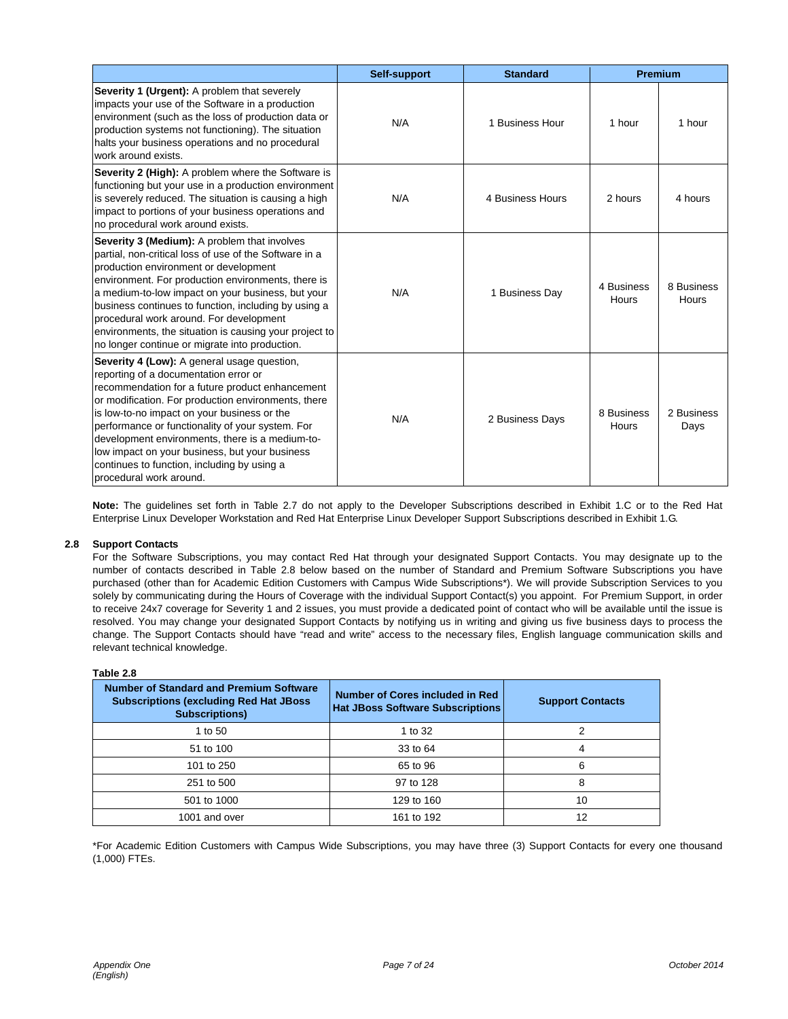|                                                                                                                                                                                                                                                                                                                                                                                                                                                                                  | Self-support | <b>Standard</b>  | Premium             |                     |
|----------------------------------------------------------------------------------------------------------------------------------------------------------------------------------------------------------------------------------------------------------------------------------------------------------------------------------------------------------------------------------------------------------------------------------------------------------------------------------|--------------|------------------|---------------------|---------------------|
| Severity 1 (Urgent): A problem that severely<br>impacts your use of the Software in a production<br>environment (such as the loss of production data or<br>production systems not functioning). The situation<br>halts your business operations and no procedural<br>work around exists.                                                                                                                                                                                         | N/A          | 1 Business Hour  | 1 hour              | 1 hour              |
| Severity 2 (High): A problem where the Software is<br>functioning but your use in a production environment<br>is severely reduced. The situation is causing a high<br>impact to portions of your business operations and<br>no procedural work around exists.                                                                                                                                                                                                                    | N/A          | 4 Business Hours | 2 hours             | 4 hours             |
| Severity 3 (Medium): A problem that involves<br>partial, non-critical loss of use of the Software in a<br>production environment or development<br>environment. For production environments, there is<br>a medium-to-low impact on your business, but your<br>business continues to function, including by using a<br>procedural work around. For development<br>environments, the situation is causing your project to<br>no longer continue or migrate into production.        | N/A          | 1 Business Day   | 4 Business<br>Hours | 8 Business<br>Hours |
| Severity 4 (Low): A general usage question,<br>reporting of a documentation error or<br>recommendation for a future product enhancement<br>or modification. For production environments, there<br>is low-to-no impact on your business or the<br>performance or functionality of your system. For<br>development environments, there is a medium-to-<br>low impact on your business, but your business<br>continues to function, including by using a<br>procedural work around. | N/A          | 2 Business Days  | 8 Business<br>Hours | 2 Business<br>Days  |

**Note:** The guidelines set forth in Table 2.7 do not apply to the Developer Subscriptions described in Exhibit 1.C or to the Red Hat Enterprise Linux Developer Workstation and Red Hat Enterprise Linux Developer Support Subscriptions described in Exhibit 1.G.

#### **2.8 Support Contacts**

For the Software Subscriptions, you may contact Red Hat through your designated Support Contacts. You may designate up to the number of contacts described in Table 2.8 below based on the number of Standard and Premium Software Subscriptions you have purchased (other than for Academic Edition Customers with Campus Wide Subscriptions\*). We will provide Subscription Services to you solely by communicating during the Hours of Coverage with the individual Support Contact(s) you appoint. For Premium Support, in order to receive 24x7 coverage for Severity 1 and 2 issues, you must provide a dedicated point of contact who will be available until the issue is resolved. You may change your designated Support Contacts by notifying us in writing and giving us five business days to process the change. The Support Contacts should have "read and write" access to the necessary files, English language communication skills and relevant technical knowledge.

### **Table 2.8**

| <b>Number of Standard and Premium Software</b><br><b>Subscriptions (excluding Red Hat JBoss)</b><br><b>Subscriptions)</b> | Number of Cores included in Red<br><b>Hat JBoss Software Subscriptions</b> | <b>Support Contacts</b> |
|---------------------------------------------------------------------------------------------------------------------------|----------------------------------------------------------------------------|-------------------------|
| 1 to 50                                                                                                                   | 1 to 32                                                                    |                         |
| 51 to 100                                                                                                                 | 33 to 64                                                                   | 4                       |
| 101 to 250                                                                                                                | 65 to 96                                                                   | 6                       |
| 251 to 500                                                                                                                | 97 to 128                                                                  | 8                       |
| 501 to 1000                                                                                                               | 129 to 160                                                                 | 10                      |
| 1001 and over                                                                                                             | 161 to 192                                                                 | 12                      |

\*For Academic Edition Customers with Campus Wide Subscriptions, you may have three (3) Support Contacts for every one thousand (1,000) FTEs.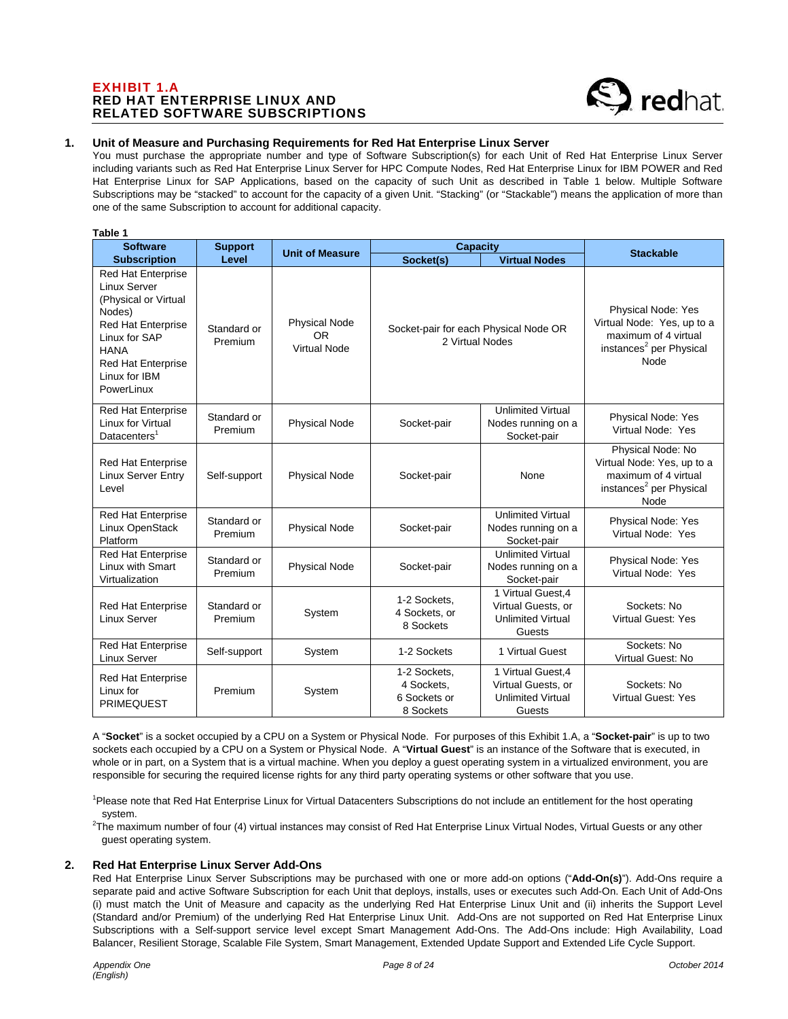# EXHIBIT 1.A RED HAT ENTERPRISE LINUX AND RELATED SOFTWARE SUBSCRIPTIONS

**Table 1** 



# **1. Unit of Measure and Purchasing Requirements for Red Hat Enterprise Linux Server**

You must purchase the appropriate number and type of Software Subscription(s) for each Unit of Red Hat Enterprise Linux Server including variants such as Red Hat Enterprise Linux Server for HPC Compute Nodes, Red Hat Enterprise Linux for IBM POWER and Red Hat Enterprise Linux for SAP Applications, based on the capacity of such Unit as described in Table 1 below. Multiple Software Subscriptions may be "stacked" to account for the capacity of a given Unit. "Stacking" (or "Stackable") means the application of more than one of the same Subscription to account for additional capacity.

| rapie i                                                                                                                                                                                       |                        |                                                          |                                                          |                                                                                |                                                                                                                         |
|-----------------------------------------------------------------------------------------------------------------------------------------------------------------------------------------------|------------------------|----------------------------------------------------------|----------------------------------------------------------|--------------------------------------------------------------------------------|-------------------------------------------------------------------------------------------------------------------------|
| <b>Software</b>                                                                                                                                                                               | <b>Support</b>         | <b>Unit of Measure</b>                                   | Capacity                                                 |                                                                                | <b>Stackable</b>                                                                                                        |
| <b>Subscription</b>                                                                                                                                                                           | Level                  |                                                          | Socket(s)                                                | <b>Virtual Nodes</b>                                                           |                                                                                                                         |
| <b>Red Hat Enterprise</b><br>Linux Server<br>(Physical or Virtual<br>Nodes)<br>Red Hat Enterprise<br>Linux for SAP<br><b>HANA</b><br><b>Red Hat Enterprise</b><br>Linux for IBM<br>PowerLinux | Standard or<br>Premium | <b>Physical Node</b><br><b>OR</b><br><b>Virtual Node</b> | Socket-pair for each Physical Node OR<br>2 Virtual Nodes |                                                                                | Physical Node: Yes<br>Virtual Node: Yes, up to a<br>maximum of 4 virtual<br>instances <sup>2</sup> per Physical<br>Node |
| <b>Red Hat Enterprise</b><br>Linux for Virtual<br>Datacenters <sup>1</sup>                                                                                                                    | Standard or<br>Premium | <b>Physical Node</b>                                     | Socket-pair                                              | <b>Unlimited Virtual</b><br>Nodes running on a<br>Socket-pair                  | Physical Node: Yes<br>Virtual Node: Yes                                                                                 |
| <b>Red Hat Enterprise</b><br><b>Linux Server Entry</b><br>Level                                                                                                                               | Self-support           | <b>Physical Node</b>                                     | Socket-pair                                              | None                                                                           | Physical Node: No<br>Virtual Node: Yes, up to a<br>maximum of 4 virtual<br>instances <sup>2</sup> per Physical<br>Node  |
| <b>Red Hat Enterprise</b><br>Linux OpenStack<br>Platform                                                                                                                                      | Standard or<br>Premium | <b>Physical Node</b>                                     | Socket-pair                                              | <b>Unlimited Virtual</b><br>Nodes running on a<br>Socket-pair                  | Physical Node: Yes<br>Virtual Node: Yes                                                                                 |
| <b>Red Hat Enterprise</b><br>Linux with Smart<br>Virtualization                                                                                                                               | Standard or<br>Premium | <b>Physical Node</b>                                     | Socket-pair                                              | <b>Unlimited Virtual</b><br>Nodes running on a<br>Socket-pair                  | Physical Node: Yes<br>Virtual Node: Yes                                                                                 |
| <b>Red Hat Enterprise</b><br><b>Linux Server</b>                                                                                                                                              | Standard or<br>Premium | System                                                   | 1-2 Sockets.<br>4 Sockets, or<br>8 Sockets               | 1 Virtual Guest.4<br>Virtual Guests, or<br><b>Unlimited Virtual</b><br>Guests  | Sockets: No<br><b>Virtual Guest: Yes</b>                                                                                |
| Red Hat Enterprise<br><b>Linux Server</b>                                                                                                                                                     | Self-support           | System                                                   | 1-2 Sockets                                              | 1 Virtual Guest                                                                | Sockets: No<br>Virtual Guest: No                                                                                        |
| <b>Red Hat Enterprise</b><br>Linux for<br><b>PRIMEQUEST</b>                                                                                                                                   | Premium                | System                                                   | 1-2 Sockets,<br>4 Sockets,<br>6 Sockets or<br>8 Sockets  | 1 Virtual Guest, 4<br>Virtual Guests, or<br><b>Unlimited Virtual</b><br>Guests | Sockets: No<br>Virtual Guest: Yes                                                                                       |

A "**Socket**" is a socket occupied by a CPU on a System or Physical Node. For purposes of this Exhibit 1.A, a "**Socket-pair**" is up to two sockets each occupied by a CPU on a System or Physical Node. A "**Virtual Guest**" is an instance of the Software that is executed, in whole or in part, on a System that is a virtual machine. When you deploy a guest operating system in a virtualized environment, you are responsible for securing the required license rights for any third party operating systems or other software that you use.

<sup>1</sup>Please note that Red Hat Enterprise Linux for Virtual Datacenters Subscriptions do not include an entitlement for the host operating

system.<br><sup>2</sup>The maximum number of four (4) virtual instances may consist of Red Hat Enterprise Linux Virtual Nodes, Virtual Guests or any other guest operating system.

#### **2. Red Hat Enterprise Linux Server Add-Ons**

Red Hat Enterprise Linux Server Subscriptions may be purchased with one or more add-on options ("**Add-On(s)**"). Add-Ons require a separate paid and active Software Subscription for each Unit that deploys, installs, uses or executes such Add-On. Each Unit of Add-Ons (i) must match the Unit of Measure and capacity as the underlying Red Hat Enterprise Linux Unit and (ii) inherits the Support Level (Standard and/or Premium) of the underlying Red Hat Enterprise Linux Unit. Add-Ons are not supported on Red Hat Enterprise Linux Subscriptions with a Self-support service level except Smart Management Add-Ons. The Add-Ons include: High Availability, Load Balancer, Resilient Storage, Scalable File System, Smart Management, Extended Update Support and Extended Life Cycle Support.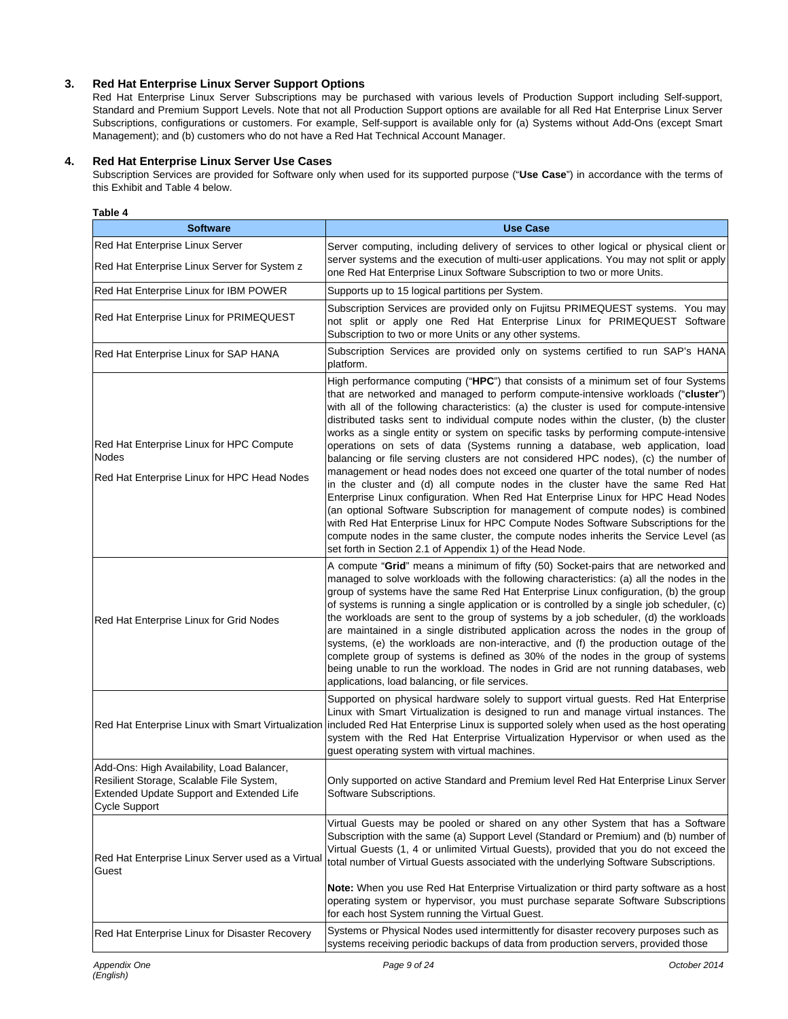# **3. Red Hat Enterprise Linux Server Support Options**

Red Hat Enterprise Linux Server Subscriptions may be purchased with various levels of Production Support including Self-support, Standard and Premium Support Levels. Note that not all Production Support options are available for all Red Hat Enterprise Linux Server Subscriptions, configurations or customers. For example, Self-support is available only for (a) Systems without Add-Ons (except Smart Management); and (b) customers who do not have a Red Hat Technical Account Manager.

# **4. Red Hat Enterprise Linux Server Use Cases**

Subscription Services are provided for Software only when used for its supported purpose ("**Use Case**") in accordance with the terms of this Exhibit and Table 4 below.

| Table 4                                                                                                                                                     |                                                                                                                                                                                                                                                                                                                                                                                                                                                                                                                                                                                                                                                                                                                                                                                                                                                                                                                                                                                                                                                                                                                                                                                                                     |
|-------------------------------------------------------------------------------------------------------------------------------------------------------------|---------------------------------------------------------------------------------------------------------------------------------------------------------------------------------------------------------------------------------------------------------------------------------------------------------------------------------------------------------------------------------------------------------------------------------------------------------------------------------------------------------------------------------------------------------------------------------------------------------------------------------------------------------------------------------------------------------------------------------------------------------------------------------------------------------------------------------------------------------------------------------------------------------------------------------------------------------------------------------------------------------------------------------------------------------------------------------------------------------------------------------------------------------------------------------------------------------------------|
| <b>Software</b>                                                                                                                                             | <b>Use Case</b>                                                                                                                                                                                                                                                                                                                                                                                                                                                                                                                                                                                                                                                                                                                                                                                                                                                                                                                                                                                                                                                                                                                                                                                                     |
| Red Hat Enterprise Linux Server<br>Red Hat Enterprise Linux Server for System z                                                                             | Server computing, including delivery of services to other logical or physical client or<br>server systems and the execution of multi-user applications. You may not split or apply<br>one Red Hat Enterprise Linux Software Subscription to two or more Units.                                                                                                                                                                                                                                                                                                                                                                                                                                                                                                                                                                                                                                                                                                                                                                                                                                                                                                                                                      |
| Red Hat Enterprise Linux for IBM POWER                                                                                                                      | Supports up to 15 logical partitions per System.                                                                                                                                                                                                                                                                                                                                                                                                                                                                                                                                                                                                                                                                                                                                                                                                                                                                                                                                                                                                                                                                                                                                                                    |
| <b>Red Hat Enterprise Linux for PRIMEQUEST</b>                                                                                                              | Subscription Services are provided only on Fujitsu PRIMEQUEST systems. You may<br>not split or apply one Red Hat Enterprise Linux for PRIMEQUEST Software<br>Subscription to two or more Units or any other systems.                                                                                                                                                                                                                                                                                                                                                                                                                                                                                                                                                                                                                                                                                                                                                                                                                                                                                                                                                                                                |
| Red Hat Enterprise Linux for SAP HANA                                                                                                                       | Subscription Services are provided only on systems certified to run SAP's HANA<br>platform.                                                                                                                                                                                                                                                                                                                                                                                                                                                                                                                                                                                                                                                                                                                                                                                                                                                                                                                                                                                                                                                                                                                         |
| Red Hat Enterprise Linux for HPC Compute<br><b>Nodes</b><br>Red Hat Enterprise Linux for HPC Head Nodes                                                     | High performance computing ("HPC") that consists of a minimum set of four Systems<br>that are networked and managed to perform compute-intensive workloads ("cluster")<br>with all of the following characteristics: (a) the cluster is used for compute-intensive<br>distributed tasks sent to individual compute nodes within the cluster, (b) the cluster<br>works as a single entity or system on specific tasks by performing compute-intensive<br>operations on sets of data (Systems running a database, web application, load<br>balancing or file serving clusters are not considered HPC nodes), (c) the number of<br>management or head nodes does not exceed one quarter of the total number of nodes<br>in the cluster and (d) all compute nodes in the cluster have the same Red Hat<br>Enterprise Linux configuration. When Red Hat Enterprise Linux for HPC Head Nodes<br>(an optional Software Subscription for management of compute nodes) is combined<br>with Red Hat Enterprise Linux for HPC Compute Nodes Software Subscriptions for the<br>compute nodes in the same cluster, the compute nodes inherits the Service Level (as<br>set forth in Section 2.1 of Appendix 1) of the Head Node. |
| Red Hat Enterprise Linux for Grid Nodes                                                                                                                     | A compute "Grid" means a minimum of fifty (50) Socket-pairs that are networked and<br>managed to solve workloads with the following characteristics: (a) all the nodes in the<br>group of systems have the same Red Hat Enterprise Linux configuration, (b) the group<br>of systems is running a single application or is controlled by a single job scheduler, (c)<br>the workloads are sent to the group of systems by a job scheduler, (d) the workloads<br>are maintained in a single distributed application across the nodes in the group of<br>systems, (e) the workloads are non-interactive, and (f) the production outage of the<br>complete group of systems is defined as 30% of the nodes in the group of systems<br>being unable to run the workload. The nodes in Grid are not running databases, web<br>applications, load balancing, or file services.                                                                                                                                                                                                                                                                                                                                             |
|                                                                                                                                                             | Supported on physical hardware solely to support virtual guests. Red Hat Enterprise<br>Linux with Smart Virtualization is designed to run and manage virtual instances. The<br>Red Hat Enterprise Linux with Smart Virtualization included Red Hat Enterprise Linux is supported solely when used as the host operating<br>system with the Red Hat Enterprise Virtualization Hypervisor or when used as the<br>guest operating system with virtual machines.                                                                                                                                                                                                                                                                                                                                                                                                                                                                                                                                                                                                                                                                                                                                                        |
| Add-Ons: High Availability, Load Balancer,<br>Resilient Storage, Scalable File System,<br>Extended Update Support and Extended Life<br><b>Cycle Support</b> | Only supported on active Standard and Premium level Red Hat Enterprise Linux Server<br>Software Subscriptions.                                                                                                                                                                                                                                                                                                                                                                                                                                                                                                                                                                                                                                                                                                                                                                                                                                                                                                                                                                                                                                                                                                      |
| Red Hat Enterprise Linux Server used as a Virtual<br>Guest                                                                                                  | Virtual Guests may be pooled or shared on any other System that has a Software<br>Subscription with the same (a) Support Level (Standard or Premium) and (b) number of<br>Virtual Guests (1, 4 or unlimited Virtual Guests), provided that you do not exceed the<br>total number of Virtual Guests associated with the underlying Software Subscriptions.<br>Note: When you use Red Hat Enterprise Virtualization or third party software as a host                                                                                                                                                                                                                                                                                                                                                                                                                                                                                                                                                                                                                                                                                                                                                                 |
|                                                                                                                                                             | operating system or hypervisor, you must purchase separate Software Subscriptions<br>for each host System running the Virtual Guest.                                                                                                                                                                                                                                                                                                                                                                                                                                                                                                                                                                                                                                                                                                                                                                                                                                                                                                                                                                                                                                                                                |
| Red Hat Enterprise Linux for Disaster Recovery                                                                                                              | Systems or Physical Nodes used intermittently for disaster recovery purposes such as<br>systems receiving periodic backups of data from production servers, provided those                                                                                                                                                                                                                                                                                                                                                                                                                                                                                                                                                                                                                                                                                                                                                                                                                                                                                                                                                                                                                                          |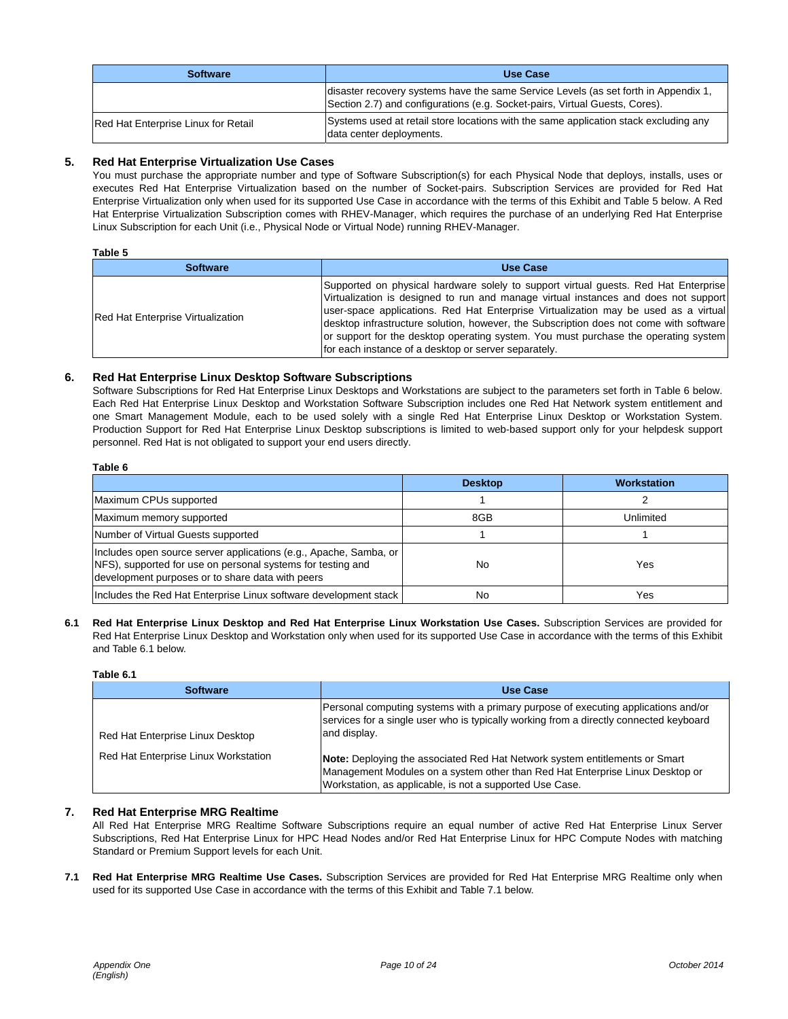| <b>Software</b>                     | Use Case                                                                                                                                                           |
|-------------------------------------|--------------------------------------------------------------------------------------------------------------------------------------------------------------------|
|                                     | disaster recovery systems have the same Service Levels (as set forth in Appendix 1,<br>Section 2.7) and configurations (e.g. Socket-pairs, Virtual Guests, Cores). |
| Red Hat Enterprise Linux for Retail | Systems used at retail store locations with the same application stack excluding any<br>data center deployments.                                                   |

# **5. Red Hat Enterprise Virtualization Use Cases**

You must purchase the appropriate number and type of Software Subscription(s) for each Physical Node that deploys, installs, uses or executes Red Hat Enterprise Virtualization based on the number of Socket-pairs. Subscription Services are provided for Red Hat Enterprise Virtualization only when used for its supported Use Case in accordance with the terms of this Exhibit and Table 5 below. A Red Hat Enterprise Virtualization Subscription comes with RHEV-Manager, which requires the purchase of an underlying Red Hat Enterprise Linux Subscription for each Unit (i.e., Physical Node or Virtual Node) running RHEV-Manager.

#### **Table 5**

| <b>Software</b>                          | <b>Use Case</b>                                                                                                                                                                                                                                                                                                                                                                                                                                                                                            |
|------------------------------------------|------------------------------------------------------------------------------------------------------------------------------------------------------------------------------------------------------------------------------------------------------------------------------------------------------------------------------------------------------------------------------------------------------------------------------------------------------------------------------------------------------------|
| <b>Red Hat Enterprise Virtualization</b> | Supported on physical hardware solely to support virtual guests. Red Hat Enterprise<br>Virtualization is designed to run and manage virtual instances and does not support<br>user-space applications. Red Hat Enterprise Virtualization may be used as a virtual<br>desktop infrastructure solution, however, the Subscription does not come with software<br>or support for the desktop operating system. You must purchase the operating system<br>for each instance of a desktop or server separately. |

#### **6. Red Hat Enterprise Linux Desktop Software Subscriptions**

Software Subscriptions for Red Hat Enterprise Linux Desktops and Workstations are subject to the parameters set forth in Table 6 below. Each Red Hat Enterprise Linux Desktop and Workstation Software Subscription includes one Red Hat Network system entitlement and one Smart Management Module, each to be used solely with a single Red Hat Enterprise Linux Desktop or Workstation System. Production Support for Red Hat Enterprise Linux Desktop subscriptions is limited to web-based support only for your helpdesk support personnel. Red Hat is not obligated to support your end users directly.

#### **Table 6**

|                                                                                                                                                                                         | <b>Desktop</b> | <b>Workstation</b> |
|-----------------------------------------------------------------------------------------------------------------------------------------------------------------------------------------|----------------|--------------------|
| Maximum CPUs supported                                                                                                                                                                  |                |                    |
| Maximum memory supported                                                                                                                                                                | 8GB            | Unlimited          |
| Number of Virtual Guests supported                                                                                                                                                      |                |                    |
| Includes open source server applications (e.g., Apache, Samba, or  <br>INFS), supported for use on personal systems for testing and<br>development purposes or to share data with peers | No             | Yes                |
| Includes the Red Hat Enterprise Linux software development stack                                                                                                                        | No             | Yes                |

**6.1 Red Hat Enterprise Linux Desktop and Red Hat Enterprise Linux Workstation Use Cases.** Subscription Services are provided for Red Hat Enterprise Linux Desktop and Workstation only when used for its supported Use Case in accordance with the terms of this Exhibit and Table 6.1 below.

#### **Table 6.1**

| <b>Software</b>                      | <b>Use Case</b>                                                                                                                                                                                                          |
|--------------------------------------|--------------------------------------------------------------------------------------------------------------------------------------------------------------------------------------------------------------------------|
| Red Hat Enterprise Linux Desktop     | Personal computing systems with a primary purpose of executing applications and/or<br>services for a single user who is typically working from a directly connected keyboard<br>and display.                             |
| Red Hat Enterprise Linux Workstation | Note: Deploying the associated Red Hat Network system entitlements or Smart<br>Management Modules on a system other than Red Hat Enterprise Linux Desktop or<br>Workstation, as applicable, is not a supported Use Case. |

#### **7. Red Hat Enterprise MRG Realtime**

All Red Hat Enterprise MRG Realtime Software Subscriptions require an equal number of active Red Hat Enterprise Linux Server Subscriptions, Red Hat Enterprise Linux for HPC Head Nodes and/or Red Hat Enterprise Linux for HPC Compute Nodes with matching Standard or Premium Support levels for each Unit.

**7.1 Red Hat Enterprise MRG Realtime Use Cases.** Subscription Services are provided for Red Hat Enterprise MRG Realtime only when used for its supported Use Case in accordance with the terms of this Exhibit and Table 7.1 below.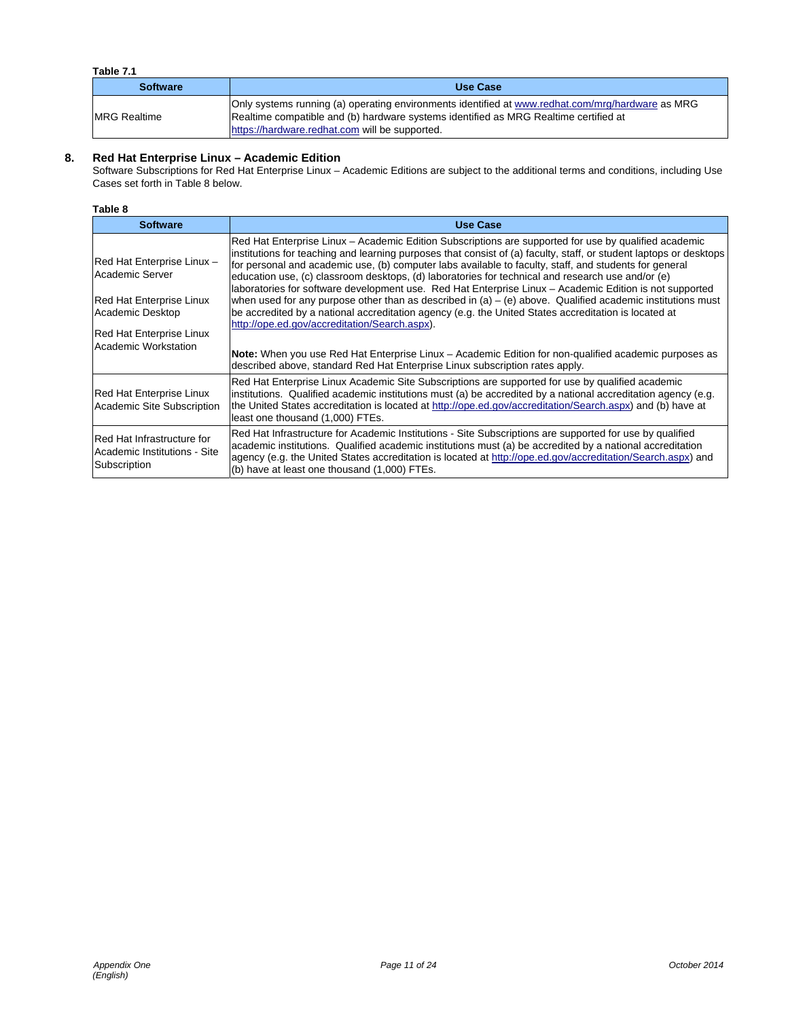# **Table 7.1**

| <b>Software</b>     | Use Case                                                                                                                                                                                                                                   |
|---------------------|--------------------------------------------------------------------------------------------------------------------------------------------------------------------------------------------------------------------------------------------|
| <b>MRG Realtime</b> | Only systems running (a) operating environments identified at www.redhat.com/mrg/hardware as MRG<br>Realtime compatible and (b) hardware systems identified as MRG Realtime certified at<br>https://hardware.redhat.com will be supported. |

# **8. Red Hat Enterprise Linux – Academic Edition**

Software Subscriptions for Red Hat Enterprise Linux – Academic Editions are subject to the additional terms and conditions, including Use Cases set forth in Table 8 below.

## **Table 8**

| <b>Software</b>                                                                                                                                                 | <b>Use Case</b>                                                                                                                                                                                                                                                                                                                                                                                                                                                                                                                                                                                                                                                                                                                                                                                                                                                                                                                                                                                                       |
|-----------------------------------------------------------------------------------------------------------------------------------------------------------------|-----------------------------------------------------------------------------------------------------------------------------------------------------------------------------------------------------------------------------------------------------------------------------------------------------------------------------------------------------------------------------------------------------------------------------------------------------------------------------------------------------------------------------------------------------------------------------------------------------------------------------------------------------------------------------------------------------------------------------------------------------------------------------------------------------------------------------------------------------------------------------------------------------------------------------------------------------------------------------------------------------------------------|
| Red Hat Enterprise Linux -<br>Academic Server<br><b>Red Hat Enterprise Linux</b><br>Academic Desktop<br><b>Red Hat Enterprise Linux</b><br>Academic Workstation | Red Hat Enterprise Linux – Academic Edition Subscriptions are supported for use by qualified academic<br>institutions for teaching and learning purposes that consist of (a) faculty, staff, or student laptops or desktops<br>for personal and academic use, (b) computer labs available to faculty, staff, and students for general<br>education use, (c) classroom desktops, (d) laboratories for technical and research use and/or (e)<br>laboratories for software development use. Red Hat Enterprise Linux - Academic Edition is not supported<br>when used for any purpose other than as described in (a) – (e) above. Qualified academic institutions must<br>be accredited by a national accreditation agency (e.g. the United States accreditation is located at<br>http://ope.ed.gov/accreditation/Search.aspx).<br>Note: When you use Red Hat Enterprise Linux - Academic Edition for non-qualified academic purposes as<br>described above, standard Red Hat Enterprise Linux subscription rates apply. |
| Red Hat Enterprise Linux<br>Academic Site Subscription                                                                                                          | Red Hat Enterprise Linux Academic Site Subscriptions are supported for use by qualified academic<br>institutions. Qualified academic institutions must (a) be accredited by a national accreditation agency (e.g.<br>the United States accreditation is located at http://ope.ed.gov/accreditation/Search.aspx) and (b) have at<br>least one thousand (1,000) FTEs.                                                                                                                                                                                                                                                                                                                                                                                                                                                                                                                                                                                                                                                   |
| IRed Hat Infrastructure for<br>Academic Institutions - Site<br>Subscription                                                                                     | Red Hat Infrastructure for Academic Institutions - Site Subscriptions are supported for use by qualified<br>academic institutions. Qualified academic institutions must (a) be accredited by a national accreditation<br>agency (e.g. the United States accreditation is located at http://ope.ed.gov/accreditation/Search.aspx) and<br>(b) have at least one thousand (1,000) FTEs.                                                                                                                                                                                                                                                                                                                                                                                                                                                                                                                                                                                                                                  |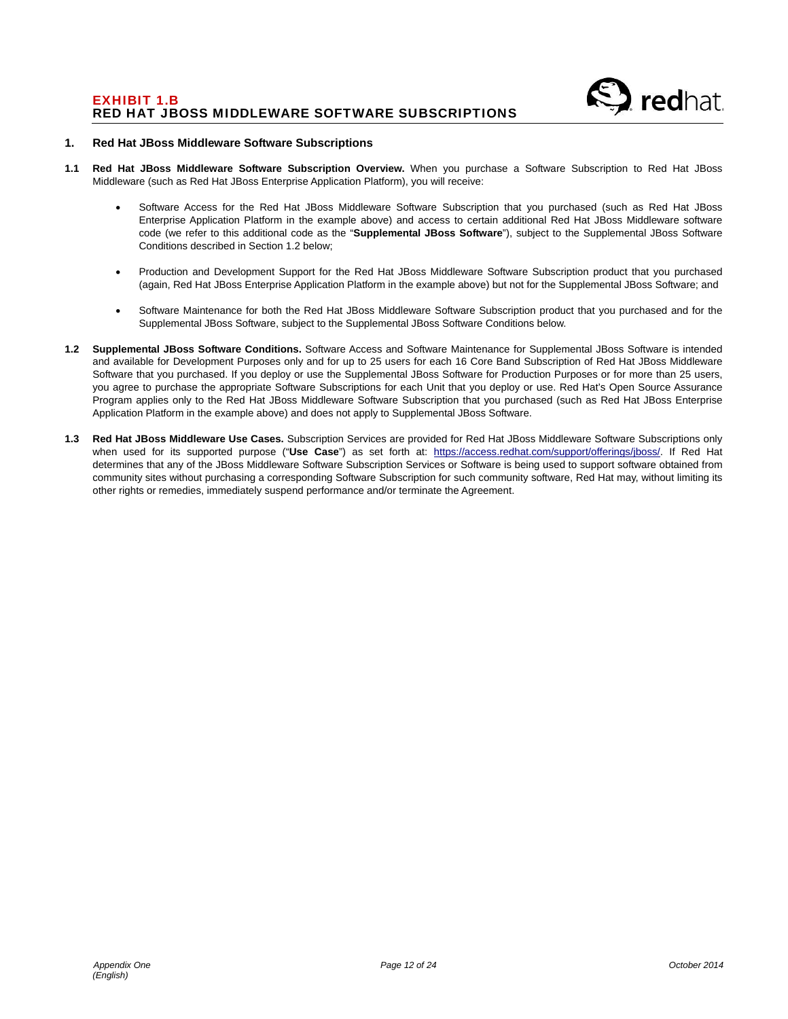

#### **1. Red Hat JBoss Middleware Software Subscriptions**

- **1.1 Red Hat JBoss Middleware Software Subscription Overview.** When you purchase a Software Subscription to Red Hat JBoss Middleware (such as Red Hat JBoss Enterprise Application Platform), you will receive:
	- Software Access for the Red Hat JBoss Middleware Software Subscription that you purchased (such as Red Hat JBoss Enterprise Application Platform in the example above) and access to certain additional Red Hat JBoss Middleware software code (we refer to this additional code as the "**Supplemental JBoss Software**"), subject to the Supplemental JBoss Software Conditions described in Section 1.2 below;
	- Production and Development Support for the Red Hat JBoss Middleware Software Subscription product that you purchased (again, Red Hat JBoss Enterprise Application Platform in the example above) but not for the Supplemental JBoss Software; and
	- Software Maintenance for both the Red Hat JBoss Middleware Software Subscription product that you purchased and for the Supplemental JBoss Software, subject to the Supplemental JBoss Software Conditions below.
- **1.2 Supplemental JBoss Software Conditions.** Software Access and Software Maintenance for Supplemental JBoss Software is intended and available for Development Purposes only and for up to 25 users for each 16 Core Band Subscription of Red Hat JBoss Middleware Software that you purchased. If you deploy or use the Supplemental JBoss Software for Production Purposes or for more than 25 users, you agree to purchase the appropriate Software Subscriptions for each Unit that you deploy or use. Red Hat's Open Source Assurance Program applies only to the Red Hat JBoss Middleware Software Subscription that you purchased (such as Red Hat JBoss Enterprise Application Platform in the example above) and does not apply to Supplemental JBoss Software.
- **1.3 Red Hat JBoss Middleware Use Cases.** Subscription Services are provided for Red Hat JBoss Middleware Software Subscriptions only when used for its supported purpose ("**Use Case**") as set forth at: https://access.redhat.com/support/offerings/jboss/. If Red Hat determines that any of the JBoss Middleware Software Subscription Services or Software is being used to support software obtained from community sites without purchasing a corresponding Software Subscription for such community software, Red Hat may, without limiting its other rights or remedies, immediately suspend performance and/or terminate the Agreement.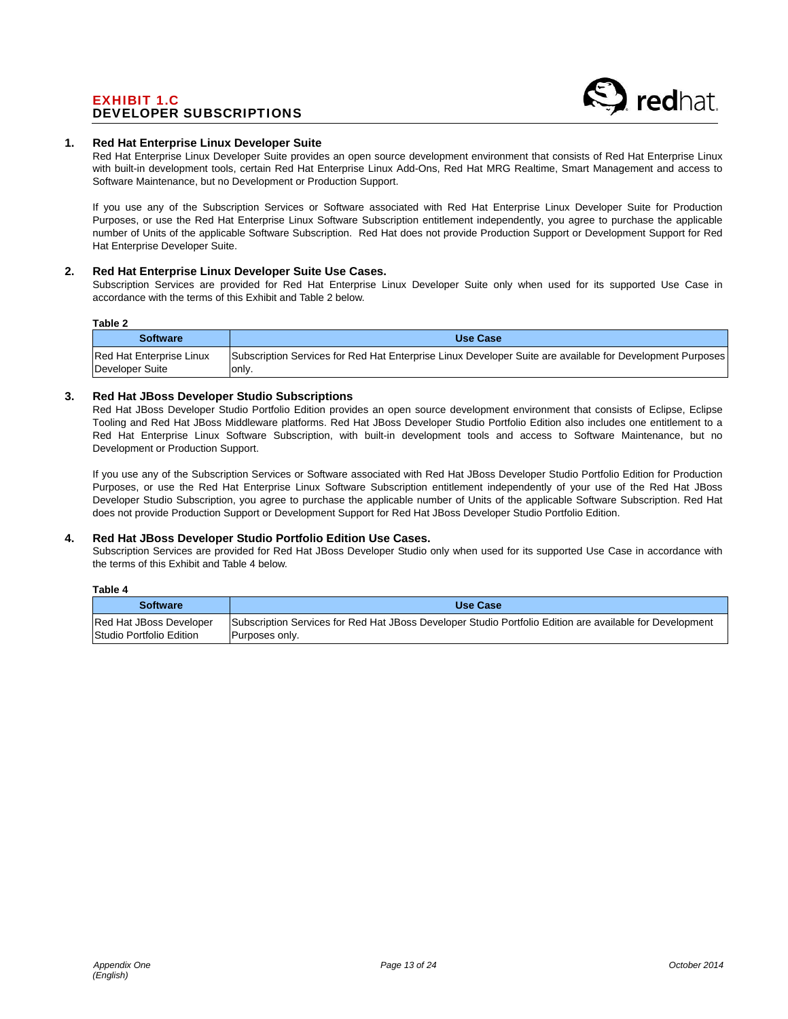# EXHIBIT 1.C DEVELOPER SUBSCRIPTIONS



#### **1. Red Hat Enterprise Linux Developer Suite**

Red Hat Enterprise Linux Developer Suite provides an open source development environment that consists of Red Hat Enterprise Linux with built-in development tools, certain Red Hat Enterprise Linux Add-Ons, Red Hat MRG Realtime, Smart Management and access to Software Maintenance, but no Development or Production Support.

If you use any of the Subscription Services or Software associated with Red Hat Enterprise Linux Developer Suite for Production Purposes, or use the Red Hat Enterprise Linux Software Subscription entitlement independently, you agree to purchase the applicable number of Units of the applicable Software Subscription. Red Hat does not provide Production Support or Development Support for Red Hat Enterprise Developer Suite.

#### **2. Red Hat Enterprise Linux Developer Suite Use Cases.**

Subscription Services are provided for Red Hat Enterprise Linux Developer Suite only when used for its supported Use Case in accordance with the terms of this Exhibit and Table 2 below.

#### **Table 2**

**Table 4** 

| .                        |                                                                                                                  |
|--------------------------|------------------------------------------------------------------------------------------------------------------|
| <b>Software</b>          | Use Case                                                                                                         |
| Red Hat Enterprise Linux | <b>Subscription Services for Red Hat Enterprise Linux Developer Suite are available for Development Purposes</b> |
| Developer Suite          | lonly.                                                                                                           |

#### **3. Red Hat JBoss Developer Studio Subscriptions**

Red Hat JBoss Developer Studio Portfolio Edition provides an open source development environment that consists of Eclipse, Eclipse Tooling and Red Hat JBoss Middleware platforms. Red Hat JBoss Developer Studio Portfolio Edition also includes one entitlement to a Red Hat Enterprise Linux Software Subscription, with built-in development tools and access to Software Maintenance, but no Development or Production Support.

If you use any of the Subscription Services or Software associated with Red Hat JBoss Developer Studio Portfolio Edition for Production Purposes, or use the Red Hat Enterprise Linux Software Subscription entitlement independently of your use of the Red Hat JBoss Developer Studio Subscription, you agree to purchase the applicable number of Units of the applicable Software Subscription. Red Hat does not provide Production Support or Development Support for Red Hat JBoss Developer Studio Portfolio Edition.

# **4. Red Hat JBoss Developer Studio Portfolio Edition Use Cases.**

Subscription Services are provided for Red Hat JBoss Developer Studio only when used for its supported Use Case in accordance with the terms of this Exhibit and Table 4 below.

| Table 4                                             |                                                                                                                            |
|-----------------------------------------------------|----------------------------------------------------------------------------------------------------------------------------|
| <b>Software</b>                                     | Use Case                                                                                                                   |
| Red Hat JBoss Developer<br>Studio Portfolio Edition | Subscription Services for Red Hat JBoss Developer Studio Portfolio Edition are available for Development<br>Purposes only. |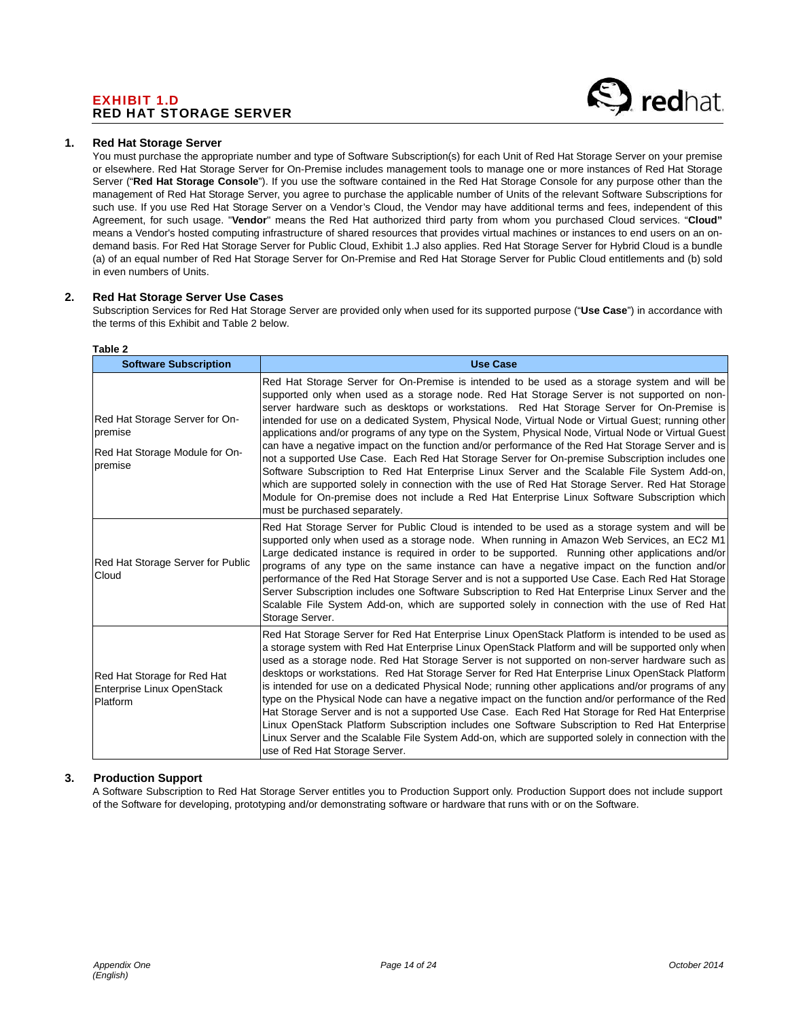# EXHIBIT 1.D RED HAT STORAGE SERVER



#### **1. Red Hat Storage Server**

You must purchase the appropriate number and type of Software Subscription(s) for each Unit of Red Hat Storage Server on your premise or elsewhere. Red Hat Storage Server for On-Premise includes management tools to manage one or more instances of Red Hat Storage Server ("**Red Hat Storage Console**"). If you use the software contained in the Red Hat Storage Console for any purpose other than the management of Red Hat Storage Server, you agree to purchase the applicable number of Units of the relevant Software Subscriptions for such use. If you use Red Hat Storage Server on a Vendor's Cloud, the Vendor may have additional terms and fees, independent of this Agreement, for such usage. "**Vendor**" means the Red Hat authorized third party from whom you purchased Cloud services. "**Cloud"** means a Vendor's hosted computing infrastructure of shared resources that provides virtual machines or instances to end users on an ondemand basis. For Red Hat Storage Server for Public Cloud, Exhibit 1.J also applies. Red Hat Storage Server for Hybrid Cloud is a bundle (a) of an equal number of Red Hat Storage Server for On-Premise and Red Hat Storage Server for Public Cloud entitlements and (b) sold in even numbers of Units.

#### **2. Red Hat Storage Server Use Cases**

Subscription Services for Red Hat Storage Server are provided only when used for its supported purpose ("**Use Case**") in accordance with the terms of this Exhibit and Table 2 below.

| <b>Software Subscription</b>                                                           | <b>Use Case</b>                                                                                                                                                                                                                                                                                                                                                                                                                                                                                                                                                                                                                                                                                                                                                                                                                                                                                                                                                                                                                                         |
|----------------------------------------------------------------------------------------|---------------------------------------------------------------------------------------------------------------------------------------------------------------------------------------------------------------------------------------------------------------------------------------------------------------------------------------------------------------------------------------------------------------------------------------------------------------------------------------------------------------------------------------------------------------------------------------------------------------------------------------------------------------------------------------------------------------------------------------------------------------------------------------------------------------------------------------------------------------------------------------------------------------------------------------------------------------------------------------------------------------------------------------------------------|
| Red Hat Storage Server for On-<br>premise<br>Red Hat Storage Module for On-<br>premise | Red Hat Storage Server for On-Premise is intended to be used as a storage system and will be<br>supported only when used as a storage node. Red Hat Storage Server is not supported on non-<br>server hardware such as desktops or workstations. Red Hat Storage Server for On-Premise is<br>intended for use on a dedicated System, Physical Node, Virtual Node or Virtual Guest; running other<br>applications and/or programs of any type on the System, Physical Node, Virtual Node or Virtual Guest<br>can have a negative impact on the function and/or performance of the Red Hat Storage Server and is<br>not a supported Use Case. Each Red Hat Storage Server for On-premise Subscription includes one<br>Software Subscription to Red Hat Enterprise Linux Server and the Scalable File System Add-on,<br>which are supported solely in connection with the use of Red Hat Storage Server. Red Hat Storage<br>Module for On-premise does not include a Red Hat Enterprise Linux Software Subscription which<br>must be purchased separately. |
| Red Hat Storage Server for Public<br>Cloud                                             | Red Hat Storage Server for Public Cloud is intended to be used as a storage system and will be<br>supported only when used as a storage node. When running in Amazon Web Services, an EC2 M1<br>Large dedicated instance is required in order to be supported. Running other applications and/or<br>programs of any type on the same instance can have a negative impact on the function and/or<br>performance of the Red Hat Storage Server and is not a supported Use Case. Each Red Hat Storage<br>Server Subscription includes one Software Subscription to Red Hat Enterprise Linux Server and the<br>Scalable File System Add-on, which are supported solely in connection with the use of Red Hat<br>Storage Server.                                                                                                                                                                                                                                                                                                                             |
| Red Hat Storage for Red Hat<br>Enterprise Linux OpenStack<br>Platform                  | Red Hat Storage Server for Red Hat Enterprise Linux OpenStack Platform is intended to be used as<br>a storage system with Red Hat Enterprise Linux OpenStack Platform and will be supported only when<br>used as a storage node. Red Hat Storage Server is not supported on non-server hardware such as<br>desktops or workstations. Red Hat Storage Server for Red Hat Enterprise Linux OpenStack Platform<br>is intended for use on a dedicated Physical Node; running other applications and/or programs of any<br>type on the Physical Node can have a negative impact on the function and/or performance of the Red<br>Hat Storage Server and is not a supported Use Case. Each Red Hat Storage for Red Hat Enterprise<br>Linux OpenStack Platform Subscription includes one Software Subscription to Red Hat Enterprise<br>Linux Server and the Scalable File System Add-on, which are supported solely in connection with the<br>use of Red Hat Storage Server.                                                                                  |

#### **Table 2**

## **3. Production Support**

A Software Subscription to Red Hat Storage Server entitles you to Production Support only. Production Support does not include support of the Software for developing, prototyping and/or demonstrating software or hardware that runs with or on the Software.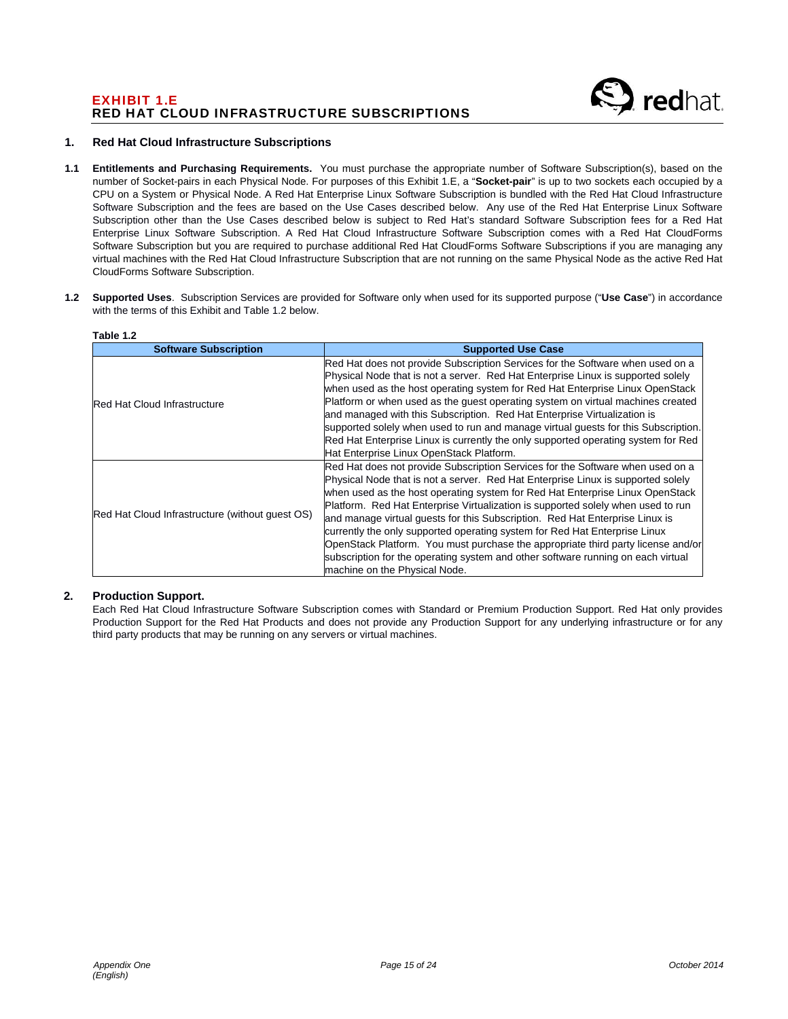# EXHIBIT 1.E RED HAT CLOUD INFRASTRUCTURE SUBSCRIPTIONS

#### **1. Red Hat Cloud Infrastructure Subscriptions**

- **1.1 Entitlements and Purchasing Requirements.** You must purchase the appropriate number of Software Subscription(s), based on the number of Socket-pairs in each Physical Node. For purposes of this Exhibit 1.E, a "**Socket-pair**" is up to two sockets each occupied by a CPU on a System or Physical Node. A Red Hat Enterprise Linux Software Subscription is bundled with the Red Hat Cloud Infrastructure Software Subscription and the fees are based on the Use Cases described below. Any use of the Red Hat Enterprise Linux Software Subscription other than the Use Cases described below is subject to Red Hat's standard Software Subscription fees for a Red Hat Enterprise Linux Software Subscription. A Red Hat Cloud Infrastructure Software Subscription comes with a Red Hat CloudForms Software Subscription but you are required to purchase additional Red Hat CloudForms Software Subscriptions if you are managing any virtual machines with the Red Hat Cloud Infrastructure Subscription that are not running on the same Physical Node as the active Red Hat CloudForms Software Subscription.
- **1.2 Supported Uses**. Subscription Services are provided for Software only when used for its supported purpose ("**Use Case**") in accordance with the terms of this Exhibit and Table 1.2 below.

| Table 1.2                                       |                                                                                                                                                                                                                                                                                                                                                                                                                                                                                                                                                                                                                                                                                                                |
|-------------------------------------------------|----------------------------------------------------------------------------------------------------------------------------------------------------------------------------------------------------------------------------------------------------------------------------------------------------------------------------------------------------------------------------------------------------------------------------------------------------------------------------------------------------------------------------------------------------------------------------------------------------------------------------------------------------------------------------------------------------------------|
| <b>Software Subscription</b>                    | <b>Supported Use Case</b>                                                                                                                                                                                                                                                                                                                                                                                                                                                                                                                                                                                                                                                                                      |
| <b>Red Hat Cloud Infrastructure</b>             | Red Hat does not provide Subscription Services for the Software when used on a<br>Physical Node that is not a server. Red Hat Enterprise Linux is supported solely<br>when used as the host operating system for Red Hat Enterprise Linux OpenStack<br>Platform or when used as the guest operating system on virtual machines created<br>and managed with this Subscription. Red Hat Enterprise Virtualization is<br>supported solely when used to run and manage virtual guests for this Subscription.<br>Red Hat Enterprise Linux is currently the only supported operating system for Red<br>Hat Enterprise Linux OpenStack Platform.                                                                      |
| Red Hat Cloud Infrastructure (without guest OS) | Red Hat does not provide Subscription Services for the Software when used on a<br>Physical Node that is not a server. Red Hat Enterprise Linux is supported solely<br>when used as the host operating system for Red Hat Enterprise Linux OpenStack<br>Platform. Red Hat Enterprise Virtualization is supported solely when used to run<br>and manage virtual guests for this Subscription. Red Hat Enterprise Linux is<br>currently the only supported operating system for Red Hat Enterprise Linux<br>OpenStack Platform. You must purchase the appropriate third party license and/or<br>subscription for the operating system and other software running on each virtual<br>machine on the Physical Node. |

## **2. Production Support.**

Each Red Hat Cloud Infrastructure Software Subscription comes with Standard or Premium Production Support. Red Hat only provides Production Support for the Red Hat Products and does not provide any Production Support for any underlying infrastructure or for any third party products that may be running on any servers or virtual machines.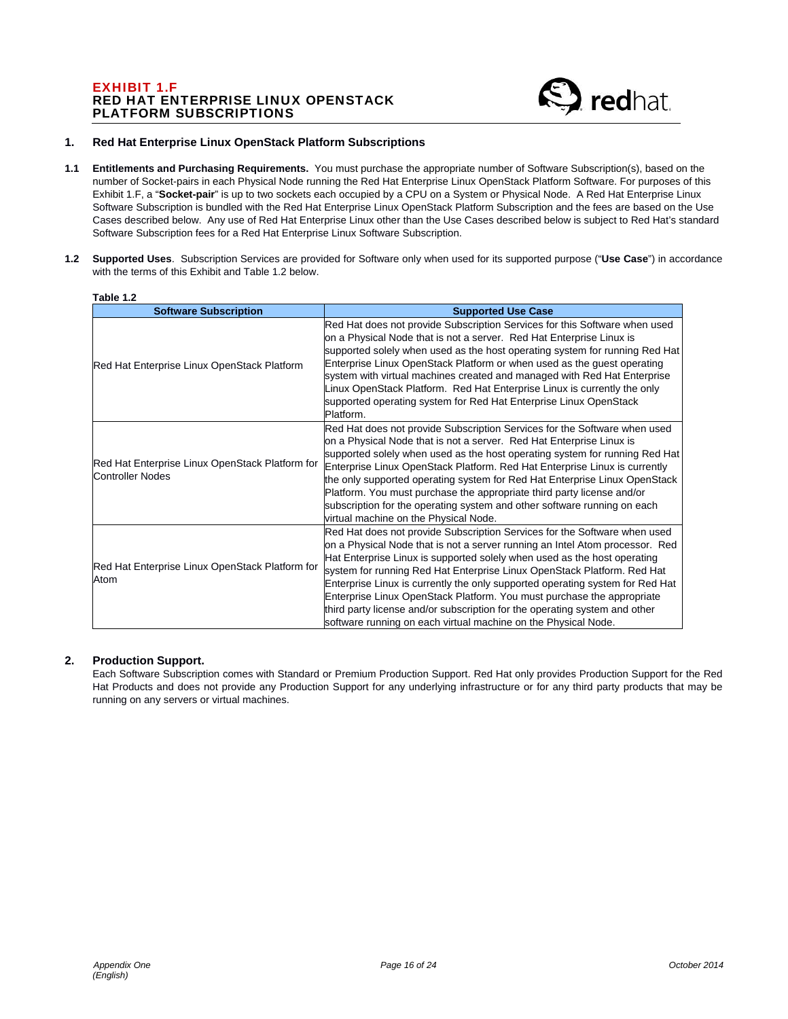# EXHIBIT 1.F RED HAT ENTERPRISE LINUX OPENSTACK PLATFORM SUBSCRIPTIONS



#### **1. Red Hat Enterprise Linux OpenStack Platform Subscriptions**

- **1.1 Entitlements and Purchasing Requirements.** You must purchase the appropriate number of Software Subscription(s), based on the number of Socket-pairs in each Physical Node running the Red Hat Enterprise Linux OpenStack Platform Software. For purposes of this Exhibit 1.F, a "**Socket-pair**" is up to two sockets each occupied by a CPU on a System or Physical Node. A Red Hat Enterprise Linux Software Subscription is bundled with the Red Hat Enterprise Linux OpenStack Platform Subscription and the fees are based on the Use Cases described below. Any use of Red Hat Enterprise Linux other than the Use Cases described below is subject to Red Hat's standard Software Subscription fees for a Red Hat Enterprise Linux Software Subscription.
- **1.2 Supported Uses**. Subscription Services are provided for Software only when used for its supported purpose ("**Use Case**") in accordance with the terms of this Exhibit and Table 1.2 below.

| TANIC T.Z<br><b>Software Subscription</b>                           | <b>Supported Use Case</b>                                                                                                                                                                                                                                                                                                                                                                                                                                                                                                                                                                                                   |
|---------------------------------------------------------------------|-----------------------------------------------------------------------------------------------------------------------------------------------------------------------------------------------------------------------------------------------------------------------------------------------------------------------------------------------------------------------------------------------------------------------------------------------------------------------------------------------------------------------------------------------------------------------------------------------------------------------------|
| Red Hat Enterprise Linux OpenStack Platform                         | Red Hat does not provide Subscription Services for this Software when used<br>on a Physical Node that is not a server. Red Hat Enterprise Linux is<br>supported solely when used as the host operating system for running Red Hat<br>Enterprise Linux OpenStack Platform or when used as the guest operating<br>system with virtual machines created and managed with Red Hat Enterprise<br>Linux OpenStack Platform. Red Hat Enterprise Linux is currently the only<br>supported operating system for Red Hat Enterprise Linux OpenStack<br>Platform.                                                                      |
| Red Hat Enterprise Linux OpenStack Platform for<br>Controller Nodes | Red Hat does not provide Subscription Services for the Software when used<br>on a Physical Node that is not a server. Red Hat Enterprise Linux is<br>supported solely when used as the host operating system for running Red Hat<br>Enterprise Linux OpenStack Platform. Red Hat Enterprise Linux is currently<br>the only supported operating system for Red Hat Enterprise Linux OpenStack<br>Platform. You must purchase the appropriate third party license and/or<br>subscription for the operating system and other software running on each<br>virtual machine on the Physical Node.                                 |
| Red Hat Enterprise Linux OpenStack Platform for<br>Atom             | Red Hat does not provide Subscription Services for the Software when used<br>on a Physical Node that is not a server running an Intel Atom processor. Red<br>Hat Enterprise Linux is supported solely when used as the host operating<br>system for running Red Hat Enterprise Linux OpenStack Platform. Red Hat<br>Enterprise Linux is currently the only supported operating system for Red Hat<br>Enterprise Linux OpenStack Platform. You must purchase the appropriate<br>third party license and/or subscription for the operating system and other<br>software running on each virtual machine on the Physical Node. |

# **Table 1.2**

# **2. Production Support.**

Each Software Subscription comes with Standard or Premium Production Support. Red Hat only provides Production Support for the Red Hat Products and does not provide any Production Support for any underlying infrastructure or for any third party products that may be running on any servers or virtual machines.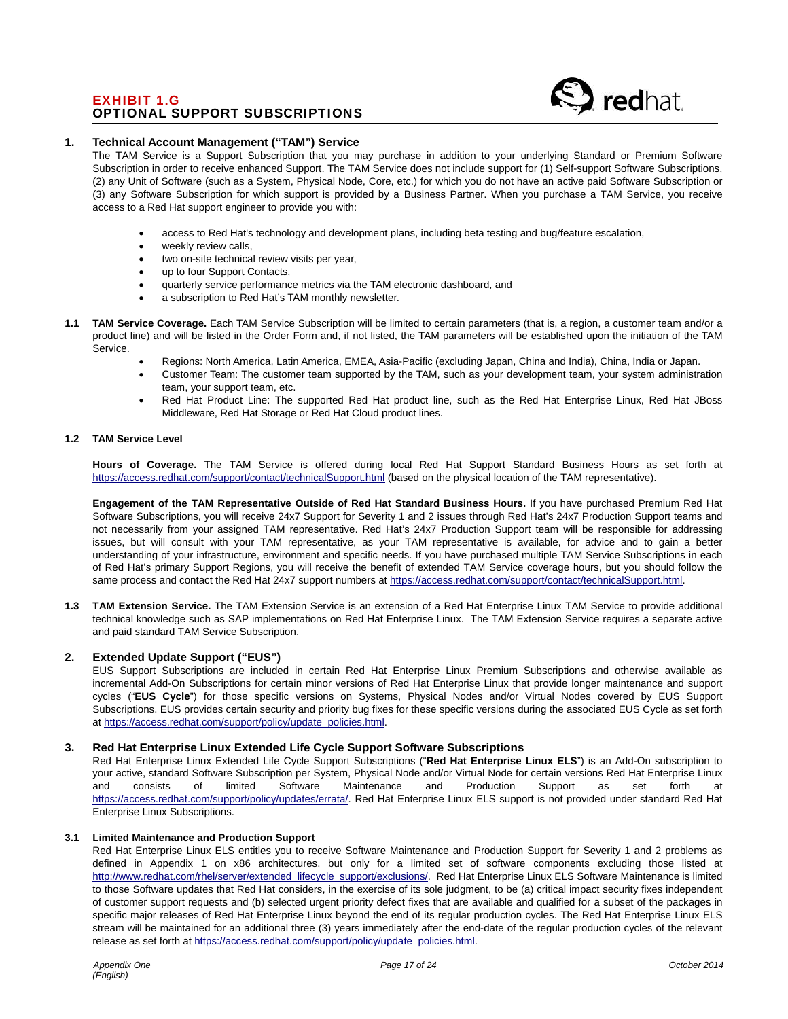# EXHIBIT 1.G OPTIONAL SUPPORT SUBSCRIPTIONS

#### **1. Technical Account Management ("TAM") Service**

The TAM Service is a Support Subscription that you may purchase in addition to your underlying Standard or Premium Software Subscription in order to receive enhanced Support. The TAM Service does not include support for (1) Self-support Software Subscriptions, (2) any Unit of Software (such as a System, Physical Node, Core, etc.) for which you do not have an active paid Software Subscription or (3) any Software Subscription for which support is provided by a Business Partner. When you purchase a TAM Service, you receive access to a Red Hat support engineer to provide you with:

- access to Red Hat's technology and development plans, including beta testing and bug/feature escalation,
- weekly review calls,
- two on-site technical review visits per year,
- up to four Support Contacts,
- quarterly service performance metrics via the TAM electronic dashboard, and
- a subscription to Red Hat's TAM monthly newsletter.
- **1.1 TAM Service Coverage.** Each TAM Service Subscription will be limited to certain parameters (that is, a region, a customer team and/or a product line) and will be listed in the Order Form and, if not listed, the TAM parameters will be established upon the initiation of the TAM Service.
	- Regions: North America, Latin America, EMEA, Asia-Pacific (excluding Japan, China and India), China, India or Japan.
	- Customer Team: The customer team supported by the TAM, such as your development team, your system administration team, your support team, etc.
	- Red Hat Product Line: The supported Red Hat product line, such as the Red Hat Enterprise Linux, Red Hat JBoss Middleware, Red Hat Storage or Red Hat Cloud product lines.

#### **1.2 TAM Service Level**

**Hours of Coverage.** The TAM Service is offered during local Red Hat Support Standard Business Hours as set forth at https://access.redhat.com/support/contact/technicalSupport.html (based on the physical location of the TAM representative).

**Engagement of the TAM Representative Outside of Red Hat Standard Business Hours.** If you have purchased Premium Red Hat Software Subscriptions, you will receive 24x7 Support for Severity 1 and 2 issues through Red Hat's 24x7 Production Support teams and not necessarily from your assigned TAM representative. Red Hat's 24x7 Production Support team will be responsible for addressing issues, but will consult with your TAM representative, as your TAM representative is available, for advice and to gain a better understanding of your infrastructure, environment and specific needs. If you have purchased multiple TAM Service Subscriptions in each of Red Hat's primary Support Regions, you will receive the benefit of extended TAM Service coverage hours, but you should follow the same process and contact the Red Hat 24x7 support numbers at https://access.redhat.com/support/contact/technicalSupport.html.

**1.3 TAM Extension Service.** The TAM Extension Service is an extension of a Red Hat Enterprise Linux TAM Service to provide additional technical knowledge such as SAP implementations on Red Hat Enterprise Linux. The TAM Extension Service requires a separate active and paid standard TAM Service Subscription.

#### **2. Extended Update Support ("EUS")**

EUS Support Subscriptions are included in certain Red Hat Enterprise Linux Premium Subscriptions and otherwise available as incremental Add-On Subscriptions for certain minor versions of Red Hat Enterprise Linux that provide longer maintenance and support cycles ("**EUS Cycle**") for those specific versions on Systems, Physical Nodes and/or Virtual Nodes covered by EUS Support Subscriptions. EUS provides certain security and priority bug fixes for these specific versions during the associated EUS Cycle as set forth at https://access.redhat.com/support/policy/update\_policies.html.

#### **3. Red Hat Enterprise Linux Extended Life Cycle Support Software Subscriptions**

Red Hat Enterprise Linux Extended Life Cycle Support Subscriptions ("**Red Hat Enterprise Linux ELS**") is an Add-On subscription to your active, standard Software Subscription per System, Physical Node and/or Virtual Node for certain versions Red Hat Enterprise Linux<br>
and consists of limited Software Maintenance and Production Support as set forth at and consists of limited Software Maintenance and Production Support as set forth at https://access.redhat.com/support/policy/updates/errata/. Red Hat Enterprise Linux ELS support is not provided under standard Red Hat Enterprise Linux Subscriptions.

#### **3.1 Limited Maintenance and Production Support**

Red Hat Enterprise Linux ELS entitles you to receive Software Maintenance and Production Support for Severity 1 and 2 problems as defined in Appendix 1 on x86 architectures, but only for a limited set of software components excluding those listed at http://www.redhat.com/rhel/server/extended\_lifecycle\_support/exclusions/. Red Hat Enterprise Linux ELS Software Maintenance is limited to those Software updates that Red Hat considers, in the exercise of its sole judgment, to be (a) critical impact security fixes independent of customer support requests and (b) selected urgent priority defect fixes that are available and qualified for a subset of the packages in specific major releases of Red Hat Enterprise Linux beyond the end of its regular production cycles. The Red Hat Enterprise Linux ELS stream will be maintained for an additional three (3) years immediately after the end-date of the regular production cycles of the relevant release as set forth at https://access.redhat.com/support/policy/update\_policies.html.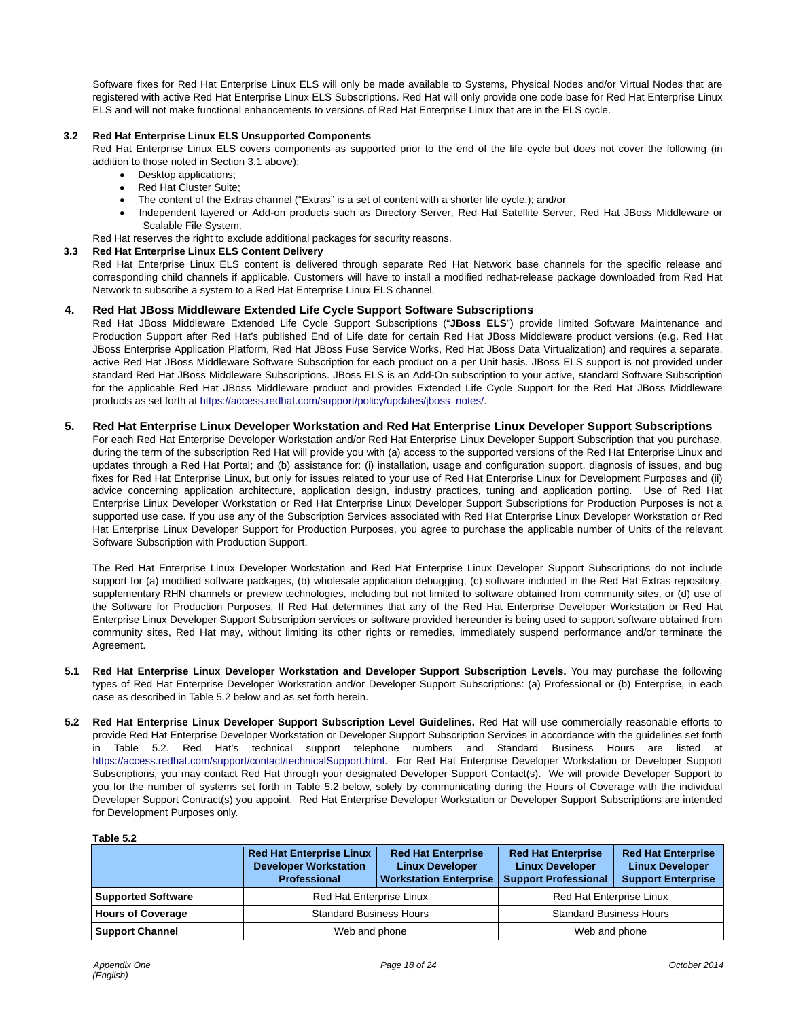Software fixes for Red Hat Enterprise Linux ELS will only be made available to Systems, Physical Nodes and/or Virtual Nodes that are registered with active Red Hat Enterprise Linux ELS Subscriptions. Red Hat will only provide one code base for Red Hat Enterprise Linux ELS and will not make functional enhancements to versions of Red Hat Enterprise Linux that are in the ELS cycle.

#### **3.2 Red Hat Enterprise Linux ELS Unsupported Components**

Red Hat Enterprise Linux ELS covers components as supported prior to the end of the life cycle but does not cover the following (in addition to those noted in Section 3.1 above):

- Desktop applications:
- Red Hat Cluster Suite;
- The content of the Extras channel ("Extras" is a set of content with a shorter life cycle.); and/or
- Independent layered or Add-on products such as Directory Server, Red Hat Satellite Server, Red Hat JBoss Middleware or Scalable File System.
- Red Hat reserves the right to exclude additional packages for security reasons.

#### **3.3 Red Hat Enterprise Linux ELS Content Delivery**

Red Hat Enterprise Linux ELS content is delivered through separate Red Hat Network base channels for the specific release and corresponding child channels if applicable. Customers will have to install a modified redhat-release package downloaded from Red Hat Network to subscribe a system to a Red Hat Enterprise Linux ELS channel.

#### **4. Red Hat JBoss Middleware Extended Life Cycle Support Software Subscriptions**

Red Hat JBoss Middleware Extended Life Cycle Support Subscriptions ("**JBoss ELS**") provide limited Software Maintenance and Production Support after Red Hat's published End of Life date for certain Red Hat JBoss Middleware product versions (e.g. Red Hat JBoss Enterprise Application Platform, Red Hat JBoss Fuse Service Works, Red Hat JBoss Data Virtualization) and requires a separate, active Red Hat JBoss Middleware Software Subscription for each product on a per Unit basis. JBoss ELS support is not provided under standard Red Hat JBoss Middleware Subscriptions. JBoss ELS is an Add-On subscription to your active, standard Software Subscription for the applicable Red Hat JBoss Middleware product and provides Extended Life Cycle Support for the Red Hat JBoss Middleware products as set forth at https://access.redhat.com/support/policy/updates/jboss\_notes/.

#### **5. Red Hat Enterprise Linux Developer Workstation and Red Hat Enterprise Linux Developer Support Subscriptions**

For each Red Hat Enterprise Developer Workstation and/or Red Hat Enterprise Linux Developer Support Subscription that you purchase, during the term of the subscription Red Hat will provide you with (a) access to the supported versions of the Red Hat Enterprise Linux and updates through a Red Hat Portal; and (b) assistance for: (i) installation, usage and configuration support, diagnosis of issues, and bug fixes for Red Hat Enterprise Linux, but only for issues related to your use of Red Hat Enterprise Linux for Development Purposes and (ii) advice concerning application architecture, application design, industry practices, tuning and application porting. Use of Red Hat Enterprise Linux Developer Workstation or Red Hat Enterprise Linux Developer Support Subscriptions for Production Purposes is not a supported use case. If you use any of the Subscription Services associated with Red Hat Enterprise Linux Developer Workstation or Red Hat Enterprise Linux Developer Support for Production Purposes, you agree to purchase the applicable number of Units of the relevant Software Subscription with Production Support.

The Red Hat Enterprise Linux Developer Workstation and Red Hat Enterprise Linux Developer Support Subscriptions do not include support for (a) modified software packages, (b) wholesale application debugging, (c) software included in the Red Hat Extras repository, supplementary RHN channels or preview technologies, including but not limited to software obtained from community sites, or (d) use of the Software for Production Purposes. If Red Hat determines that any of the Red Hat Enterprise Developer Workstation or Red Hat Enterprise Linux Developer Support Subscription services or software provided hereunder is being used to support software obtained from community sites, Red Hat may, without limiting its other rights or remedies, immediately suspend performance and/or terminate the Agreement.

- **5.1 Red Hat Enterprise Linux Developer Workstation and Developer Support Subscription Levels.** You may purchase the following types of Red Hat Enterprise Developer Workstation and/or Developer Support Subscriptions: (a) Professional or (b) Enterprise, in each case as described in Table 5.2 below and as set forth herein.
- **5.2 Red Hat Enterprise Linux Developer Support Subscription Level Guidelines.** Red Hat will use commercially reasonable efforts to provide Red Hat Enterprise Developer Workstation or Developer Support Subscription Services in accordance with the guidelines set forth in Table 5.2. Red Hat's technical support telephone numbers and Standard Business Hours are listed at https://access.redhat.com/support/contact/technicalSupport.html. For Red Hat Enterprise Developer Workstation or Developer Support Subscriptions, you may contact Red Hat through your designated Developer Support Contact(s). We will provide Developer Support to you for the number of systems set forth in Table 5.2 below, solely by communicating during the Hours of Coverage with the individual Developer Support Contract(s) you appoint. Red Hat Enterprise Developer Workstation or Developer Support Subscriptions are intended for Development Purposes only.

| Table 5. |
|----------|
|----------|

|                           | <b>Red Hat Enterprise Linux</b><br><b>Developer Workstation</b><br><b>Professional</b> | <b>Red Hat Enterprise</b><br><b>Linux Developer</b><br><b>Workstation Enterprise</b> | <b>Red Hat Enterprise</b><br><b>Linux Developer</b><br><b>Support Professional</b> | <b>Red Hat Enterprise</b><br><b>Linux Developer</b><br><b>Support Enterprise</b> |
|---------------------------|----------------------------------------------------------------------------------------|--------------------------------------------------------------------------------------|------------------------------------------------------------------------------------|----------------------------------------------------------------------------------|
| <b>Supported Software</b> | Red Hat Enterprise Linux                                                               |                                                                                      | Red Hat Enterprise Linux                                                           |                                                                                  |
| <b>Hours of Coverage</b>  | <b>Standard Business Hours</b><br><b>Standard Business Hours</b>                       |                                                                                      |                                                                                    |                                                                                  |
| <b>Support Channel</b>    | Web and phone                                                                          |                                                                                      | Web and phone                                                                      |                                                                                  |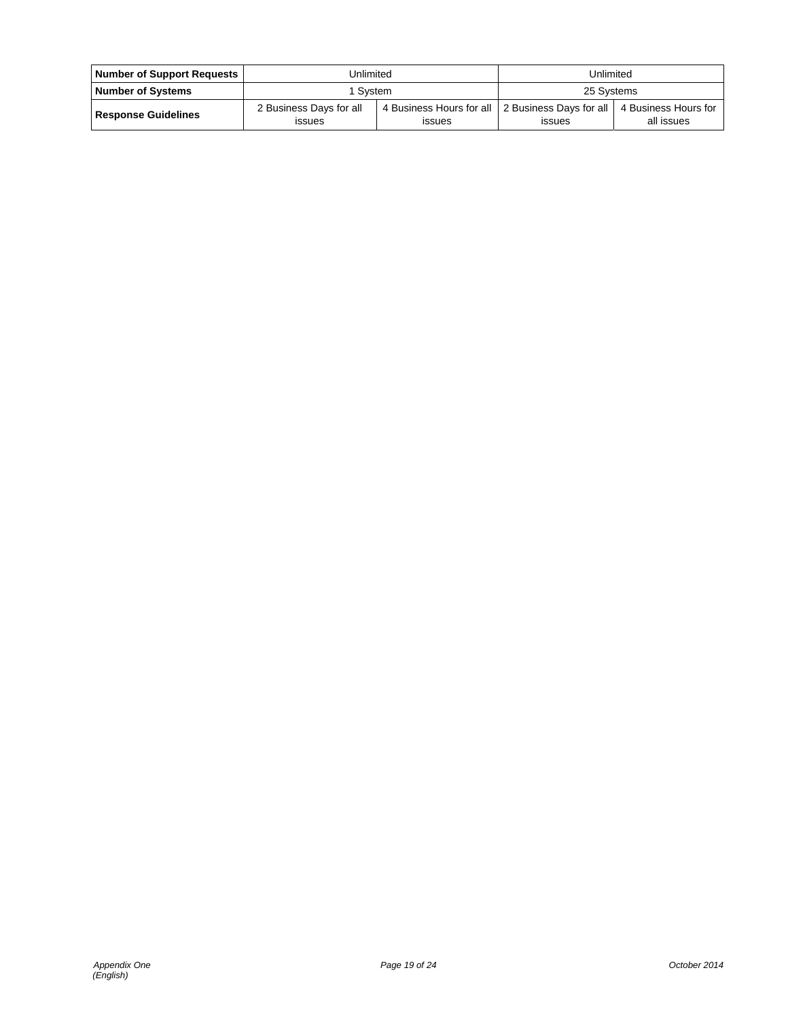| Number of Support Requests | Unlimited                                |                                                                     | Unlimited     |                                    |
|----------------------------|------------------------------------------|---------------------------------------------------------------------|---------------|------------------------------------|
| <b>Number of Systems</b>   | 1 Svstem                                 |                                                                     | 25 Systems    |                                    |
| <b>Response Guidelines</b> | 2 Business Days for all<br><b>ISSUES</b> | 4 Business Hours for all   2 Business Days for all<br><b>ISSUES</b> | <b>ISSUES</b> | 4 Business Hours for<br>all issues |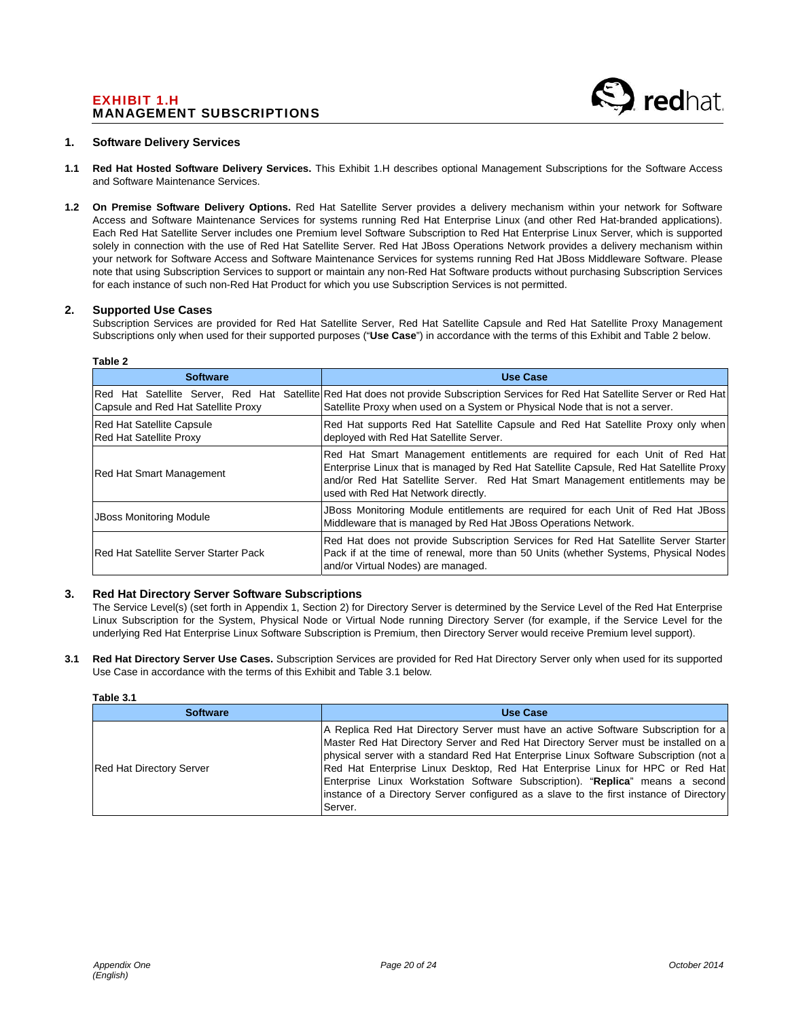# EXHIBIT 1.H MANAGEMENT SUBSCRIPTIONS

#### **1. Software Delivery Services**

- **1.1 Red Hat Hosted Software Delivery Services.** This Exhibit 1.H describes optional Management Subscriptions for the Software Access and Software Maintenance Services.
- **1.2 On Premise Software Delivery Options.** Red Hat Satellite Server provides a delivery mechanism within your network for Software Access and Software Maintenance Services for systems running Red Hat Enterprise Linux (and other Red Hat-branded applications). Each Red Hat Satellite Server includes one Premium level Software Subscription to Red Hat Enterprise Linux Server, which is supported solely in connection with the use of Red Hat Satellite Server. Red Hat JBoss Operations Network provides a delivery mechanism within your network for Software Access and Software Maintenance Services for systems running Red Hat JBoss Middleware Software. Please note that using Subscription Services to support or maintain any non-Red Hat Software products without purchasing Subscription Services for each instance of such non-Red Hat Product for which you use Subscription Services is not permitted.

#### **2. Supported Use Cases**

Subscription Services are provided for Red Hat Satellite Server, Red Hat Satellite Capsule and Red Hat Satellite Proxy Management Subscriptions only when used for their supported purposes ("**Use Case**") in accordance with the terms of this Exhibit and Table 2 below.

| Table 2                                                                  |                                                                                                                                                                                                                                                                                               |  |  |
|--------------------------------------------------------------------------|-----------------------------------------------------------------------------------------------------------------------------------------------------------------------------------------------------------------------------------------------------------------------------------------------|--|--|
| <b>Software</b>                                                          | <b>Use Case</b>                                                                                                                                                                                                                                                                               |  |  |
| Red Hat Satellite Server, Red Hat<br>Capsule and Red Hat Satellite Proxy | Satellite Red Hat does not provide Subscription Services for Red Hat Satellite Server or Red Hat<br>Satellite Proxy when used on a System or Physical Node that is not a server.                                                                                                              |  |  |
| <b>Red Hat Satellite Capsule</b><br><b>Red Hat Satellite Proxy</b>       | Red Hat supports Red Hat Satellite Capsule and Red Hat Satellite Proxy only when<br>deployed with Red Hat Satellite Server.                                                                                                                                                                   |  |  |
| <b>Red Hat Smart Management</b>                                          | Red Hat Smart Management entitlements are required for each Unit of Red Hat<br>Enterprise Linux that is managed by Red Hat Satellite Capsule, Red Hat Satellite Proxy<br>and/or Red Hat Satellite Server. Red Hat Smart Management entitlements may be<br>used with Red Hat Network directly. |  |  |
| <b>JBoss Monitoring Module</b>                                           | JBoss Monitoring Module entitlements are required for each Unit of Red Hat JBoss<br>Middleware that is managed by Red Hat JBoss Operations Network.                                                                                                                                           |  |  |
| <b>IRed Hat Satellite Server Starter Pack</b>                            | Red Hat does not provide Subscription Services for Red Hat Satellite Server Starter<br>Pack if at the time of renewal, more than 50 Units (whether Systems, Physical Nodes)<br>and/or Virtual Nodes) are managed.                                                                             |  |  |

#### **3. Red Hat Directory Server Software Subscriptions**

The Service Level(s) (set forth in Appendix 1, Section 2) for Directory Server is determined by the Service Level of the Red Hat Enterprise Linux Subscription for the System, Physical Node or Virtual Node running Directory Server (for example, if the Service Level for the underlying Red Hat Enterprise Linux Software Subscription is Premium, then Directory Server would receive Premium level support).

**3.1 Red Hat Directory Server Use Cases.** Subscription Services are provided for Red Hat Directory Server only when used for its supported Use Case in accordance with the terms of this Exhibit and Table 3.1 below.

| ı<br>- |  |
|--------|--|
|        |  |

| <b>Software</b>          | Use Case                                                                                                                                                                                                                                                                                                                                                                                                                                                                                                                                    |
|--------------------------|---------------------------------------------------------------------------------------------------------------------------------------------------------------------------------------------------------------------------------------------------------------------------------------------------------------------------------------------------------------------------------------------------------------------------------------------------------------------------------------------------------------------------------------------|
| Red Hat Directory Server | A Replica Red Hat Directory Server must have an active Software Subscription for a<br>Master Red Hat Directory Server and Red Hat Directory Server must be installed on a<br>physical server with a standard Red Hat Enterprise Linux Software Subscription (not a)<br>Red Hat Enterprise Linux Desktop, Red Hat Enterprise Linux for HPC or Red Hat<br>Enterprise Linux Workstation Software Subscription). "Replica" means a second<br>instance of a Directory Server configured as a slave to the first instance of Directory<br>Server. |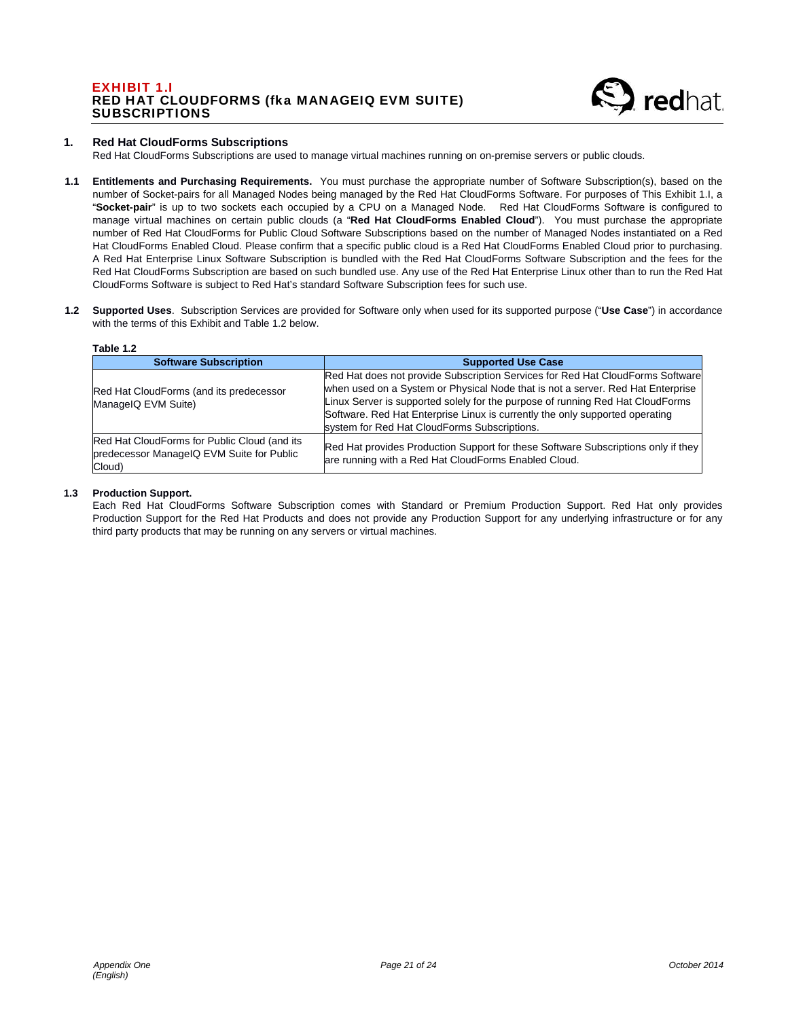# EXHIBIT 1.I RED HAT CLOUDFORMS (fka MANAGEIQ EVM SUITE) **SUBSCRIPTIONS**



#### **1. Red Hat CloudForms Subscriptions**

Red Hat CloudForms Subscriptions are used to manage virtual machines running on on-premise servers or public clouds.

- **1.1 Entitlements and Purchasing Requirements.** You must purchase the appropriate number of Software Subscription(s), based on the number of Socket-pairs for all Managed Nodes being managed by the Red Hat CloudForms Software. For purposes of This Exhibit 1.I, a "**Socket-pair**" is up to two sockets each occupied by a CPU on a Managed Node. Red Hat CloudForms Software is configured to manage virtual machines on certain public clouds (a "**Red Hat CloudForms Enabled Cloud**"). You must purchase the appropriate number of Red Hat CloudForms for Public Cloud Software Subscriptions based on the number of Managed Nodes instantiated on a Red Hat CloudForms Enabled Cloud. Please confirm that a specific public cloud is a Red Hat CloudForms Enabled Cloud prior to purchasing. A Red Hat Enterprise Linux Software Subscription is bundled with the Red Hat CloudForms Software Subscription and the fees for the Red Hat CloudForms Subscription are based on such bundled use. Any use of the Red Hat Enterprise Linux other than to run the Red Hat CloudForms Software is subject to Red Hat's standard Software Subscription fees for such use.
- **1.2 Supported Uses**. Subscription Services are provided for Software only when used for its supported purpose ("**Use Case**") in accordance with the terms of this Exhibit and Table 1.2 below.

#### **Table 1.2**

| <b>Software Subscription</b>                                                                        | <b>Supported Use Case</b>                                                                                                                                                                                                                                                                                                                                                           |
|-----------------------------------------------------------------------------------------------------|-------------------------------------------------------------------------------------------------------------------------------------------------------------------------------------------------------------------------------------------------------------------------------------------------------------------------------------------------------------------------------------|
| Red Hat CloudForms (and its predecessor<br>ManageIQ EVM Suite)                                      | Red Hat does not provide Subscription Services for Red Hat CloudForms Software<br>when used on a System or Physical Node that is not a server. Red Hat Enterprise<br>Linux Server is supported solely for the purpose of running Red Hat CloudForms<br>Software. Red Hat Enterprise Linux is currently the only supported operating<br>system for Red Hat CloudForms Subscriptions. |
| Red Hat CloudForms for Public Cloud (and its<br>predecessor ManageIQ EVM Suite for Public<br>Cloud) | Red Hat provides Production Support for these Software Subscriptions only if they<br>are running with a Red Hat CloudForms Enabled Cloud.                                                                                                                                                                                                                                           |

#### **1.3 Production Support.**

Each Red Hat CloudForms Software Subscription comes with Standard or Premium Production Support. Red Hat only provides Production Support for the Red Hat Products and does not provide any Production Support for any underlying infrastructure or for any third party products that may be running on any servers or virtual machines.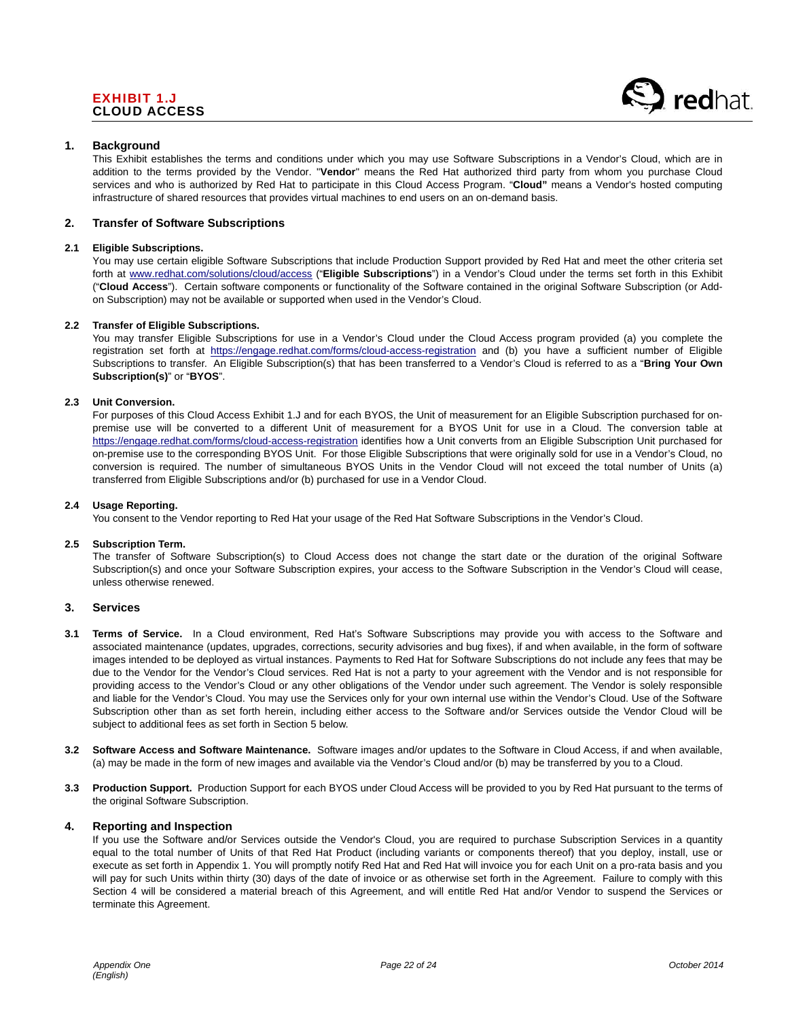# EXHIBIT 1.J CLOUD ACCESS



#### **1. Background**

This Exhibit establishes the terms and conditions under which you may use Software Subscriptions in a Vendor's Cloud, which are in addition to the terms provided by the Vendor. "**Vendor**" means the Red Hat authorized third party from whom you purchase Cloud services and who is authorized by Red Hat to participate in this Cloud Access Program. "**Cloud"** means a Vendor's hosted computing infrastructure of shared resources that provides virtual machines to end users on an on-demand basis.

#### **2. Transfer of Software Subscriptions**

#### **2.1 Eligible Subscriptions.**

You may use certain eligible Software Subscriptions that include Production Support provided by Red Hat and meet the other criteria set forth at www.redhat.com/solutions/cloud/access ("**Eligible Subscriptions**") in a Vendor's Cloud under the terms set forth in this Exhibit ("**Cloud Access**"). Certain software components or functionality of the Software contained in the original Software Subscription (or Addon Subscription) may not be available or supported when used in the Vendor's Cloud.

#### **2.2 Transfer of Eligible Subscriptions.**

You may transfer Eligible Subscriptions for use in a Vendor's Cloud under the Cloud Access program provided (a) you complete the registration set forth at https://engage.redhat.com/forms/cloud-access-registration and (b) you have a sufficient number of Eligible Subscriptions to transfer. An Eligible Subscription(s) that has been transferred to a Vendor's Cloud is referred to as a "**Bring Your Own Subscription(s)**" or "**BYOS**".

#### **2.3 Unit Conversion.**

For purposes of this Cloud Access Exhibit 1.J and for each BYOS, the Unit of measurement for an Eligible Subscription purchased for onpremise use will be converted to a different Unit of measurement for a BYOS Unit for use in a Cloud. The conversion table at https://engage.redhat.com/forms/cloud-access-registration identifies how a Unit converts from an Eligible Subscription Unit purchased for on-premise use to the corresponding BYOS Unit. For those Eligible Subscriptions that were originally sold for use in a Vendor's Cloud, no conversion is required. The number of simultaneous BYOS Units in the Vendor Cloud will not exceed the total number of Units (a) transferred from Eligible Subscriptions and/or (b) purchased for use in a Vendor Cloud.

#### **2.4 Usage Reporting.**

You consent to the Vendor reporting to Red Hat your usage of the Red Hat Software Subscriptions in the Vendor's Cloud.

#### **2.5 Subscription Term.**

The transfer of Software Subscription(s) to Cloud Access does not change the start date or the duration of the original Software Subscription(s) and once your Software Subscription expires, your access to the Software Subscription in the Vendor's Cloud will cease, unless otherwise renewed.

#### **3. Services**

- **3.1 Terms of Service.** In a Cloud environment, Red Hat's Software Subscriptions may provide you with access to the Software and associated maintenance (updates, upgrades, corrections, security advisories and bug fixes), if and when available, in the form of software images intended to be deployed as virtual instances. Payments to Red Hat for Software Subscriptions do not include any fees that may be due to the Vendor for the Vendor's Cloud services. Red Hat is not a party to your agreement with the Vendor and is not responsible for providing access to the Vendor's Cloud or any other obligations of the Vendor under such agreement. The Vendor is solely responsible and liable for the Vendor's Cloud. You may use the Services only for your own internal use within the Vendor's Cloud. Use of the Software Subscription other than as set forth herein, including either access to the Software and/or Services outside the Vendor Cloud will be subject to additional fees as set forth in Section 5 below.
- **3.2 Software Access and Software Maintenance.** Software images and/or updates to the Software in Cloud Access, if and when available, (a) may be made in the form of new images and available via the Vendor's Cloud and/or (b) may be transferred by you to a Cloud.
- **3.3 Production Support.** Production Support for each BYOS under Cloud Access will be provided to you by Red Hat pursuant to the terms of the original Software Subscription.

#### **4. Reporting and Inspection**

If you use the Software and/or Services outside the Vendor's Cloud, you are required to purchase Subscription Services in a quantity equal to the total number of Units of that Red Hat Product (including variants or components thereof) that you deploy, install, use or execute as set forth in Appendix 1. You will promptly notify Red Hat and Red Hat will invoice you for each Unit on a pro-rata basis and you will pay for such Units within thirty (30) days of the date of invoice or as otherwise set forth in the Agreement. Failure to comply with this Section 4 will be considered a material breach of this Agreement, and will entitle Red Hat and/or Vendor to suspend the Services or terminate this Agreement.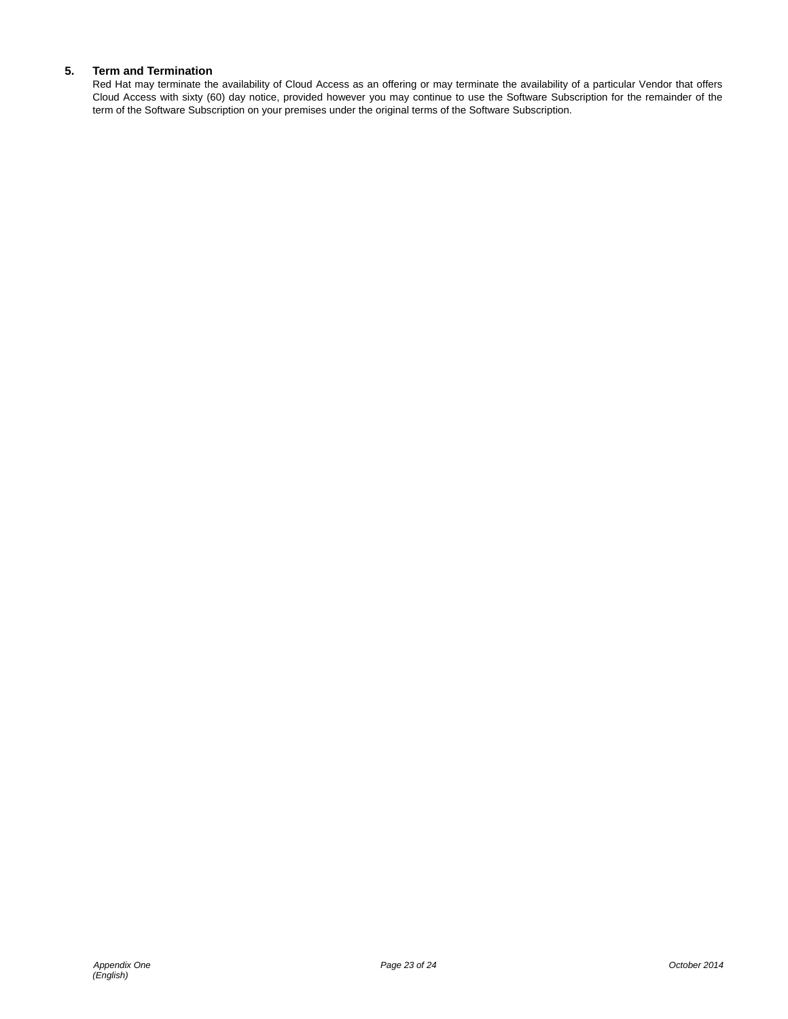# **5. Term and Termination**

Red Hat may terminate the availability of Cloud Access as an offering or may terminate the availability of a particular Vendor that offers Cloud Access with sixty (60) day notice, provided however you may continue to use the Software Subscription for the remainder of the term of the Software Subscription on your premises under the original terms of the Software Subscription.